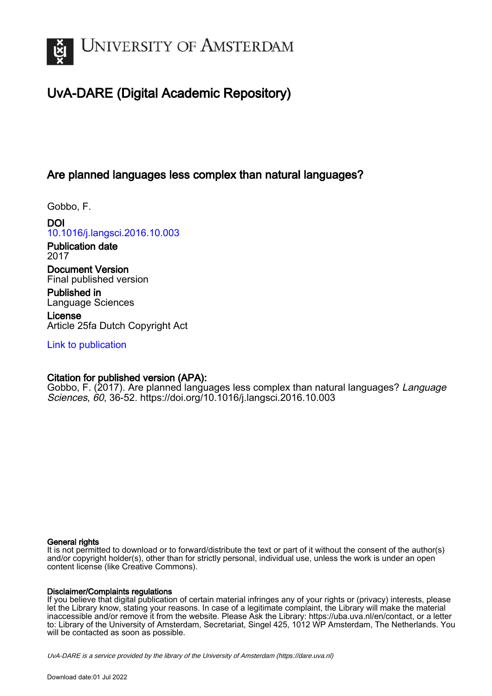

# UvA-DARE (Digital Academic Repository)

## Are planned languages less complex than natural languages?

Gobbo, F.

DOI [10.1016/j.langsci.2016.10.003](https://doi.org/10.1016/j.langsci.2016.10.003)

Publication date 2017

Document Version Final published version

Published in Language Sciences

License Article 25fa Dutch Copyright Act

[Link to publication](https://dare.uva.nl/personal/pure/en/publications/are-planned-languages-less-complex-than-natural-languages(dffdb254-27f3-45db-b534-595974846545).html)

### Citation for published version (APA):

Gobbo, F. (2017). Are planned languages less complex than natural languages? Language Sciences, 60, 36-52. <https://doi.org/10.1016/j.langsci.2016.10.003>

### General rights

It is not permitted to download or to forward/distribute the text or part of it without the consent of the author(s) and/or copyright holder(s), other than for strictly personal, individual use, unless the work is under an open content license (like Creative Commons).

### Disclaimer/Complaints regulations

If you believe that digital publication of certain material infringes any of your rights or (privacy) interests, please let the Library know, stating your reasons. In case of a legitimate complaint, the Library will make the material inaccessible and/or remove it from the website. Please Ask the Library: https://uba.uva.nl/en/contact, or a letter to: Library of the University of Amsterdam, Secretariat, Singel 425, 1012 WP Amsterdam, The Netherlands. You will be contacted as soon as possible.

UvA-DARE is a service provided by the library of the University of Amsterdam (http*s*://dare.uva.nl)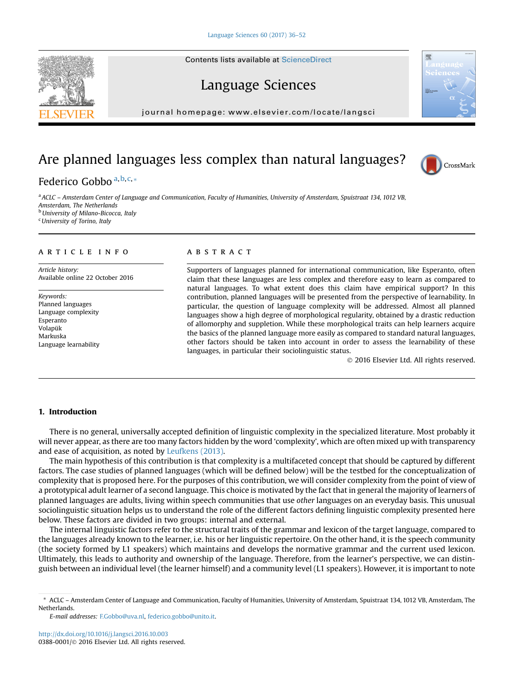# Language Sciences

journal homepage: [www.elsevier.com/locate/langsci](http://www.elsevier.com/locate/langcom)

## Are planned languages less complex than natural languages?

### Federico Gobbo<sup>a,b,c,\*</sup>

a ACLC – Amsterdam Center of Language and Communication, Faculty of Humanities, University of Amsterdam, Spuistraat 134, 1012 VB, Amsterdam, The Netherlands <sup>b</sup> University of Milano-Bicocca, Italy

<sup>c</sup>University of Torino, Italy

#### article info

Article history: Available online 22 October 2016

Keywords: Planned languages Language complexity Esperanto Volapük Markuska Language learnability

#### **ABSTRACT**

Supporters of languages planned for international communication, like Esperanto, often claim that these languages are less complex and therefore easy to learn as compared to natural languages. To what extent does this claim have empirical support? In this contribution, planned languages will be presented from the perspective of learnability. In particular, the question of language complexity will be addressed. Almost all planned languages show a high degree of morphological regularity, obtained by a drastic reduction of allomorphy and suppletion. While these morphological traits can help learners acquire the basics of the planned language more easily as compared to standard natural languages, other factors should be taken into account in order to assess the learnability of these languages, in particular their sociolinguistic status.

2016 Elsevier Ltd. All rights reserved.

#### 1. Introduction

There is no general, universally accepted definition of linguistic complexity in the specialized literature. Most probably it will never appear, as there are too many factors hidden by the word 'complexity', which are often mixed up with transparency and ease of acquisition, as noted by [Leufkens \(2013\)](#page-16-0).

The main hypothesis of this contribution is that complexity is a multifaceted concept that should be captured by different factors. The case studies of planned languages (which will be defined below) will be the testbed for the conceptualization of complexity that is proposed here. For the purposes of this contribution, we will consider complexity from the point of view of a prototypical adult learner of a second language. This choice is motivated by the fact that in general the majority of learners of planned languages are adults, living within speech communities that use other languages on an everyday basis. This unusual sociolinguistic situation helps us to understand the role of the different factors defining linguistic complexity presented here below. These factors are divided in two groups: internal and external.

The internal linguistic factors refer to the structural traits of the grammar and lexicon of the target language, compared to the languages already known to the learner, i.e. his or her linguistic repertoire. On the other hand, it is the speech community (the society formed by L1 speakers) which maintains and develops the normative grammar and the current used lexicon. Ultimately, this leads to authority and ownership of the language. Therefore, from the learner's perspective, we can distinguish between an individual level (the learner himself) and a community level (L1 speakers). However, it is important to note







<sup>\*</sup> ACLC – Amsterdam Center of Language and Communication, Faculty of Humanities, University of Amsterdam, Spuistraat 134, 1012 VB, Amsterdam, The **Netherlands** 

E-mail addresses: [F.Gobbo@uva.nl](mailto:F.Gobbo@uva.nl), [federico.gobbo@unito.it](mailto:federico.gobbo@unito.it).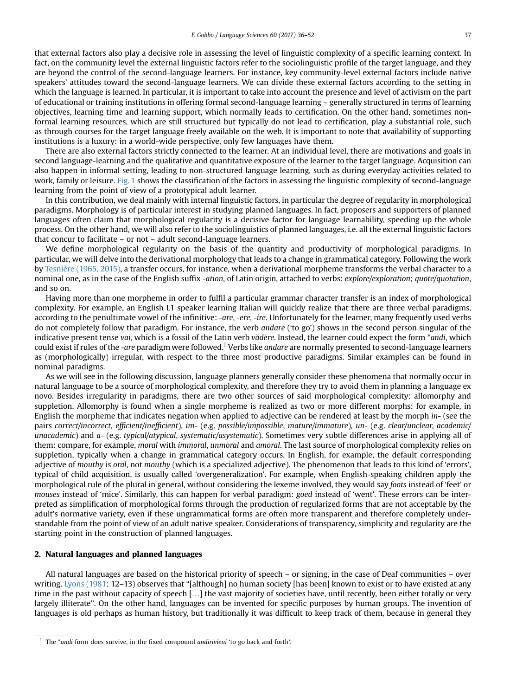that external factors also play a decisive role in assessing the level of linguistic complexity of a specific learning context. In fact, on the community level the external linguistic factors refer to the sociolinguistic profile of the target language, and they are beyond the control of the second-language learners. For instance, key community-level external factors include native speakers' attitudes toward the second-language learners. We can divide these external factors according to the setting in which the language is learned. In particular, it is important to take into account the presence and level of activism on the part of educational or training institutions in offering formal second-language learning – generally structured in terms of learning objectives, learning time and learning support, which normally leads to certification. On the other hand, sometimes nonformal learning resources, which are still structured but typically do not lead to certification, play a substantial role, such as through courses for the target language freely available on the web. It is important to note that availability of supporting institutions is a luxury: in a world-wide perspective, only few languages have them.

There are also external factors strictly connected to the learner. At an individual level, there are motivations and goals in second language-learning and the qualitative and quantitative exposure of the learner to the target language. Acquisition can also happen in informal setting, leading to non-structured language learning, such as during everyday activities related to work, family or leisure. [Fig. 1](#page-3-0) shows the classification of the factors in assessing the linguistic complexity of second-language learning from the point of view of a prototypical adult learner.

In this contribution, we deal mainly with internal linguistic factors, in particular the degree of regularity in morphological paradigms. Morphology is of particular interest in studying planned languages. In fact, proposers and supporters of planned languages often claim that morphological regularity is a decisive factor for language learnability, speeding up the whole process. On the other hand, we will also refer to the sociolinguistics of planned languages, i.e. all the external linguistic factors that concur to facilitate – or not – adult second-language learners.

We define morphological regularity on the basis of the quantity and productivity of morphological paradigms. In particular, we will delve into the derivational morphology that leads to a change in grammatical category. Following the work by [Tesnière \(1965, 2015\)](#page-17-0), a transfer occurs, for instance, when a derivational morpheme transforms the verbal character to a nominal one, as in the case of the English suffix -ation, of Latin origin, attached to verbs: explore/exploration; quote/quotation, and so on.

Having more than one morpheme in order to fulfil a particular grammar character transfer is an index of morphological complexity. For example, an English L1 speaker learning Italian will quickly realize that there are three verbal paradigms, according to the penultimate vowel of the infinitive: -are, -ere, -ire. Unfortunately for the learner, many frequently used verbs do not completely follow that paradigm. For instance, the verb andare ('to go') shows in the second person singular of the indicative present tense vai, which is a fossil of the Latin verb văděre. Instead, the learner could expect the form \*andi, which could exist if rules of the -are paradigm were followed.<sup>1</sup> Verbs like andare are normally presented to second-language learners as (morphologically) irregular, with respect to the three most productive paradigms. Similar examples can be found in nominal paradigms.

As we will see in the following discussion, language planners generally consider these phenomena that normally occur in natural language to be a source of morphological complexity, and therefore they try to avoid them in planning a language ex novo. Besides irregularity in paradigms, there are two other sources of said morphological complexity: allomorphy and suppletion. Allomorphy is found when a single morpheme is realized as two or more different morphs: for example, in English the morpheme that indicates negation when applied to adjective can be rendered at least by the morph in- (see the pairs correct/incorrect, efficient/inefficient), im- (e.g. possible/impossible, mature/immature), un- (e.g. clear/unclear, academic/ unacademic) and a- (e.g. typical/atypical, systematic/asystematic). Sometimes very subtle differences arise in applying all of them: compare, for example, *moral with immoral*, *unmoral* and *amoral*. The last source of morphological complexity relies on suppletion, typically when a change in grammatical category occurs. In English, for example, the default corresponding adjective of mouthy is oral, not mouthy (which is a specialized adjective). The phenomenon that leads to this kind of 'errors', typical of child acquisition, is usually called 'overgeneralization'. For example, when English-speaking children apply the morphological rule of the plural in general, without considering the lexeme involved, they would say foots instead of 'feet' or mouses instead of 'mice'. Similarly, this can happen for verbal paradigm: goed instead of 'went'. These errors can be interpreted as simplification of morphological forms through the production of regularized forms that are not acceptable by the adult's normative variety, even if these ungrammatical forms are often more transparent and therefore completely understandable from the point of view of an adult native speaker. Considerations of transparency, simplicity and regularity are the starting point in the construction of planned languages.

#### 2. Natural languages and planned languages

All natural languages are based on the historical priority of speech – or signing, in the case of Deaf communities – over writing. [Lyons \(1981:](#page-16-0) 12-13) observes that "[although] no human society [has been] known to exist or to have existed at any time in the past without capacity of speech [...] the vast majority of societies have, until recently, been either totally or very largely illiterate". On the other hand, languages can be invented for specific purposes by human groups. The invention of languages is old perhaps as human history, but traditionally it was difficult to keep track of them, because in general they

 $1$  The  $*$  andi form does survive, in the fixed compound andirivieni 'to go back and forth'.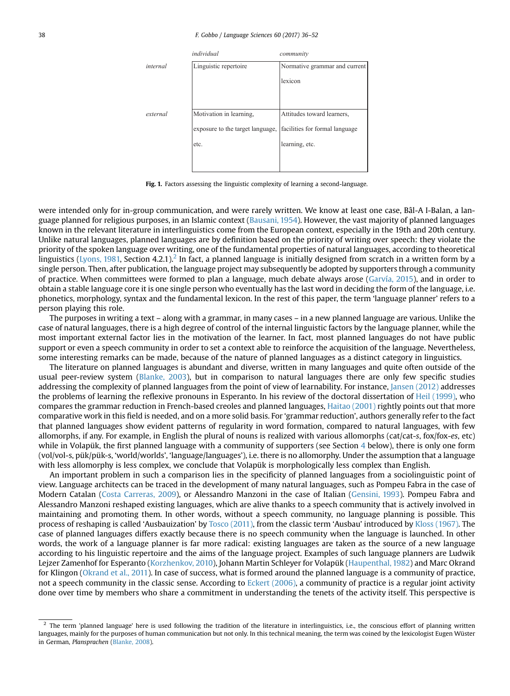<span id="page-3-0"></span>

Fig. 1. Factors assessing the linguistic complexity of learning a second-language.

were intended only for in-group communication, and were rarely written. We know at least one case, Bâl-A I-Balan, a language planned for religious purposes, in an Islamic context [\(Bausani, 1954\)](#page-15-0). However, the vast majority of planned languages known in the relevant literature in interlinguistics come from the European context, especially in the 19th and 20th century. Unlike natural languages, planned languages are by definition based on the priority of writing over speech: they violate the priority of the spoken language over writing, one of the fundamental properties of natural languages, according to theoretical linguistics ([Lyons, 1981,](#page-16-0) Section 4.2.1).<sup>2</sup> In fact, a planned language is initially designed from scratch in a written form by a single person. Then, after publication, the language project may subsequently be adopted by supporters through a community of practice. When committees were formed to plan a language, much debate always arose ([Garvía, 2015](#page-16-0)), and in order to obtain a stable language core it is one single person who eventually has the last word in deciding the form of the language, i.e. phonetics, morphology, syntax and the fundamental lexicon. In the rest of this paper, the term 'language planner' refers to a person playing this role.

The purposes in writing a text – along with a grammar, in many cases – in a new planned language are various. Unlike the case of natural languages, there is a high degree of control of the internal linguistic factors by the language planner, while the most important external factor lies in the motivation of the learner. In fact, most planned languages do not have public support or even a speech community in order to set a context able to reinforce the acquisition of the language. Nevertheless, some interesting remarks can be made, because of the nature of planned languages as a distinct category in linguistics.

The literature on planned languages is abundant and diverse, written in many languages and quite often outside of the usual peer-review system ([Blanke, 2003](#page-15-0)), but in comparison to natural languages there are only few specific studies addressing the complexity of planned languages from the point of view of learnability. For instance, [Jansen \(2012\)](#page-16-0) addresses the problems of learning the reflexive pronouns in Esperanto. In his review of the doctoral dissertation of [Heil \(1999\)](#page-16-0), who compares the grammar reduction in French-based creoles and planned languages, [Haitao \(2001\)](#page-16-0) rightly points out that more comparative work in this field is needed, and on a more solid basis. For 'grammar reduction', authors generally refer to the fact that planned languages show evident patterns of regularity in word formation, compared to natural languages, with few allomorphs, if any. For example, in English the plural of nouns is realized with various allomorphs (cat/cat-s, fox/fox-es, etc) while in Volapük, the first planned language with a community of supporters (see Section [4](#page-8-0) below), there is only one form (vol/vol-s, pük/pük-s, 'world/worlds', 'language/languages'), i.e. there is no allomorphy. Under the assumption that a language with less allomorphy is less complex, we conclude that Volapük is morphologically less complex than English.

An important problem in such a comparison lies in the specificity of planned languages from a sociolinguistic point of view. Language architects can be traced in the development of many natural languages, such as Pompeu Fabra in the case of Modern Catalan ([Costa Carreras, 2009](#page-15-0)), or Alessandro Manzoni in the case of Italian [\(Gensini, 1993\)](#page-16-0). Pompeu Fabra and Alessandro Manzoni reshaped existing languages, which are alive thanks to a speech community that is actively involved in maintaining and promoting them. In other words, without a speech community, no language planning is possible. This process of reshaping is called 'Ausbauization' by [Tosco \(2011\)](#page-17-0), from the classic term 'Ausbau' introduced by [Kloss \(1967\)](#page-16-0). The case of planned languages differs exactly because there is no speech community when the language is launched. In other words, the work of a language planner is far more radical: existing languages are taken as the source of a new language according to his linguistic repertoire and the aims of the language project. Examples of such language planners are Ludwik Lejzer Zamenhof for Esperanto [\(Korzhenkov, 2010](#page-16-0)), Johann Martin Schleyer for Volapük [\(Haupenthal, 1982\)](#page-16-0) and Marc Okrand for Klingon [\(Okrand et al., 2011](#page-16-0)). In case of success, what is formed around the planned language is a community of practice, not a speech community in the classic sense. According to [Eckert \(2006\),](#page-15-0) a community of practice is a regular joint activity done over time by members who share a commitment in understanding the tenets of the activity itself. This perspective is

 $2$  The term 'planned language' here is used following the tradition of the literature in interlinguistics, i.e., the conscious effort of planning written languages, mainly for the purposes of human communication but not only. In this technical meaning, the term was coined by the lexicologist Eugen Wüster in German, Plansprachen [\(Blanke, 2008\)](#page-15-0).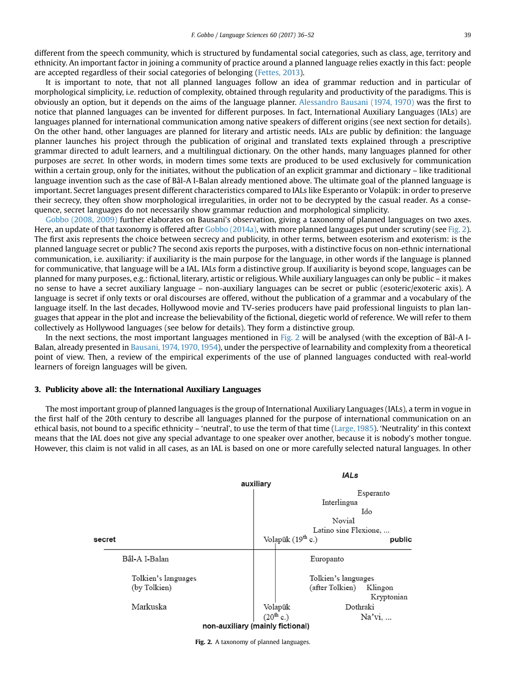different from the speech community, which is structured by fundamental social categories, such as class, age, territory and ethnicity. An important factor in joining a community of practice around a planned language relies exactly in this fact: people are accepted regardless of their social categories of belonging [\(Fettes, 2013](#page-16-0)).

It is important to note, that not all planned languages follow an idea of grammar reduction and in particular of morphological simplicity, i.e. reduction of complexity, obtained through regularity and productivity of the paradigms. This is obviously an option, but it depends on the aims of the language planner. [Alessandro Bausani \(1974, 1970\)](#page-15-0) was the first to notice that planned languages can be invented for different purposes. In fact, International Auxiliary Languages (IALs) are languages planned for international communication among native speakers of different origins (see next section for details). On the other hand, other languages are planned for literary and artistic needs. IALs are public by definition: the language planner launches his project through the publication of original and translated texts explained through a prescriptive grammar directed to adult learners, and a multilingual dictionary. On the other hands, many languages planned for other purposes are secret. In other words, in modern times some texts are produced to be used exclusively for communication within a certain group, only for the initiates, without the publication of an explicit grammar and dictionary – like traditional language invention such as the case of Bâl-A I-Balan already mentioned above. The ultimate goal of the planned language is important. Secret languages present different characteristics compared to IALs like Esperanto or Volapük: in order to preserve their secrecy, they often show morphological irregularities, in order not to be decrypted by the casual reader. As a consequence, secret languages do not necessarily show grammar reduction and morphological simplicity.

[Gobbo \(2008, 2009\)](#page-16-0) further elaborates on Bausani's observation, giving a taxonomy of planned languages on two axes. Here, an update of that taxonomy is offered after [Gobbo \(2014a\),](#page-16-0) with more planned languages put under scrutiny (see Fig. 2). The first axis represents the choice between secrecy and publicity, in other terms, between esoterism and exoterism: is the planned language secret or public? The second axis reports the purposes, with a distinctive focus on non-ethnic international communication, i.e. auxiliarity: if auxiliarity is the main purpose for the language, in other words if the language is planned for communicative, that language will be a IAL. IALs form a distinctive group. If auxiliarity is beyond scope, languages can be planned for many purposes, e.g.: fictional, literary, artistic or religious. While auxiliary languages can only be public – it makes no sense to have a secret auxiliary language – non-auxiliary languages can be secret or public (esoteric/exoteric axis). A language is secret if only texts or oral discourses are offered, without the publication of a grammar and a vocabulary of the language itself. In the last decades, Hollywood movie and TV-series producers have paid professional linguists to plan languages that appear in the plot and increase the believability of the fictional, diegetic world of reference. We will refer to them collectively as Hollywood languages (see below for details). They form a distinctive group.

In the next sections, the most important languages mentioned in Fig. 2 will be analysed (with the exception of Bâl-A I-Balan, already presented in [Bausani, 1974, 1970, 1954\)](#page-15-0), under the perspective of learnability and complexity from a theoretical point of view. Then, a review of the empirical experiments of the use of planned languages conducted with real-world learners of foreign languages will be given.

#### 3. Publicity above all: the International Auxiliary Languages

The most important group of planned languages is the group of International Auxiliary Languages (IALs), a term in vogue in the first half of the 20th century to describe all languages planned for the purpose of international communication on an ethical basis, not bound to a specific ethnicity – 'neutral', to use the term of that time [\(Large, 1985](#page-16-0)). 'Neutrality' in this context means that the IAL does not give any special advantage to one speaker over another, because it is nobody's mother tongue. However, this claim is not valid in all cases, as an IAL is based on one or more carefully selected natural languages. In other



Fig. 2. A taxonomy of planned languages.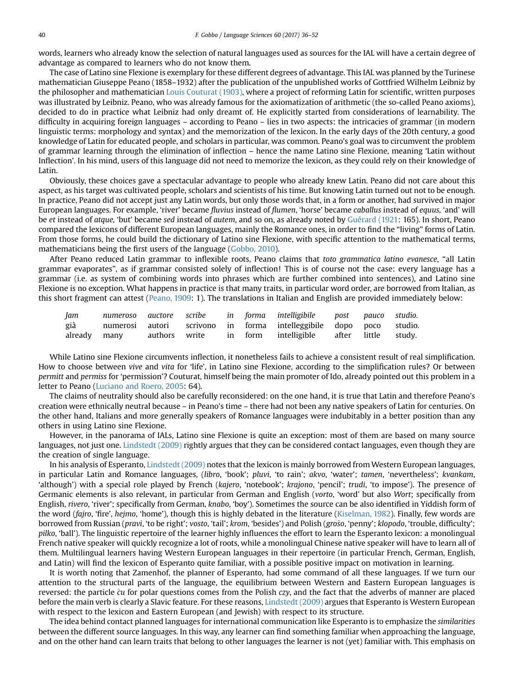words, learners who already know the selection of natural languages used as sources for the IAL will have a certain degree of advantage as compared to learners who do not know them.

The case of Latino sine Flexione is exemplary for these different degrees of advantage. This IAL was planned by the Turinese mathematician Giuseppe Peano (1858–1932) after the publication of the unpublished works of Gottfried Wilhelm Leibniz by the philosopher and mathematician [Louis Couturat \(1903\),](#page-15-0) where a project of reforming Latin for scientific, written purposes was illustrated by Leibniz. Peano, who was already famous for the axiomatization of arithmetic (the so-called Peano axioms), decided to do in practice what Leibniz had only dreamt of. He explicitly started from considerations of learnability. The difficulty in acquiring foreign languages – according to Peano – lies in two aspects: the intricacies of grammar (in modern linguistic terms: morphology and syntax) and the memorization of the lexicon. In the early days of the 20th century, a good knowledge of Latin for educated people, and scholars in particular, was common. Peano's goal was to circumvent the problem of grammar learning through the elimination of inflection – hence the name Latino sine Flexione, meaning 'Latin without Inflection'. In his mind, users of this language did not need to memorize the lexicon, as they could rely on their knowledge of Latin.

Obviously, these choices gave a spectacular advantage to people who already knew Latin. Peano did not care about this aspect, as his target was cultivated people, scholars and scientists of his time. But knowing Latin turned out not to be enough. In practice, Peano did not accept just any Latin words, but only those words that, in a form or another, had survived in major European languages. For example, 'river' became fluvius instead of flumen, 'horse' became caballus instead of equus, 'and' will be et instead of atque, 'but' became sed instead of autem, and so on, as already noted by [Guérard \(1921](#page-16-0): 165). In short, Peano compared the lexicons of different European languages, mainly the Romance ones, in order to find the "living" forms of Latin. From those forms, he could build the dictionary of Latino sine Flexione, with specific attention to the mathematical terms, mathematicians being the first users of the language ([Gobbo, 2010\)](#page-16-0).

After Peano reduced Latin grammar to inflexible roots, Peano claims that toto grammatica latino evanesce, "all Latin grammar evaporates", as if grammar consisted solely of inflection! This is of course not the case: every language has a grammar (i.e. as system of combining words into phrases which are further combined into sentences), and Latino sine Flexione is no exception. What happens in practice is that many traits, in particular word order, are borrowed from Italian, as this short fragment can attest [\(Peano, 1909](#page-16-0): 1). The translations in Italian and English are provided immediately below:

| Jam |              |  |  | numeroso auctore scribe in forma intelligibile post pauco studio.  |  |  |
|-----|--------------|--|--|--------------------------------------------------------------------|--|--|
| già |              |  |  | numerosi autori scrivono in forma intelleggibile dopo poco studio. |  |  |
|     | already many |  |  | authors write in form intelligible after little study.             |  |  |

While Latino sine Flexione circumvents inflection, it nonetheless fails to achieve a consistent result of real simplification. How to choose between vive and vita for 'life', in Latino sine Flexione, according to the simplification rules? Or between permitt and permiss for 'permission'? Couturat, himself being the main promoter of Ido, already pointed out this problem in a letter to Peano [\(Luciano and Roero, 2005](#page-16-0): 64).

The claims of neutrality should also be carefully reconsidered: on the one hand, it is true that Latin and therefore Peano's creation were ethnically neutral because – in Peano's time – there had not been any native speakers of Latin for centuries. On the other hand, Italians and more generally speakers of Romance languages were indubitably in a better position than any others in using Latino sine Flexione.

However, in the panorama of IALs, Latino sine Flexione is quite an exception: most of them are based on many source languages, not just one. [Lindstedt \(2009\)](#page-16-0) rightly argues that they can be considered contact languages, even though they are the creation of single language.

In his analysis of Esperanto, [Lindstedt \(2009\)](#page-16-0) notes that the lexicon is mainly borrowed from Western European languages, in particular Latin and Romance languages, (libro, 'book'; pluvi, 'to rain'; akvo, 'water'; tamen, 'nevertheless'; kvankam, 'although') with a special role played by French (kajero, 'notebook'; krajono, 'pencil'; trudi, 'to impose'). The presence of Germanic elements is also relevant, in particular from German and English (vorto, 'word' but also Wort; specifically from English, rivero, 'river'; specifically from German, knabo, 'boy'). Sometimes the source can be also identified in Yiddish form of the word (fajro, 'fire', hejmo, 'home'), though this is highly debated in the literature [\(Kiselman, 1982](#page-16-0)). Finally, few words are borrowed from Russian (pravi, 'to be right'; vosto, 'tail'; krom, 'besides') and Polish (groŝo, 'penny'; klopodo, 'trouble, difficulty'; pilko, 'ball'). The linguistic repertoire of the learner highly influences the effort to learn the Esperanto lexicon: a monolingual French native speaker will quickly recognize a lot of roots, while a monolingual Chinese native speaker will have to learn all of them. Multilingual learners having Western European languages in their repertoire (in particular French, German, English, and Latin) will find the lexicon of Esperanto quite familiar, with a possible positive impact on motivation in learning.

It is worth noting that Zamenhof, the planner of Esperanto, had some command of all these languages. If we turn our attention to the structural parts of the language, the equilibrium between Western and Eastern European languages is reversed: the particle  $\hat{c}u$  for polar questions comes from the Polish czy, and the fact that the adverbs of manner are placed before the main verb is clearly a Slavic feature. For these reasons, [Lindstedt \(2009\)](#page-16-0) argues that Esperanto is Western European with respect to the lexicon and Eastern European (and Jewish) with respect to its structure.

The idea behind contact planned languages for international communication like Esperanto is to emphasize the similarities between the different source languages. In this way, any learner can find something familiar when approaching the language, and on the other hand can learn traits that belong to other languages the learner is not (yet) familiar with. This emphasis on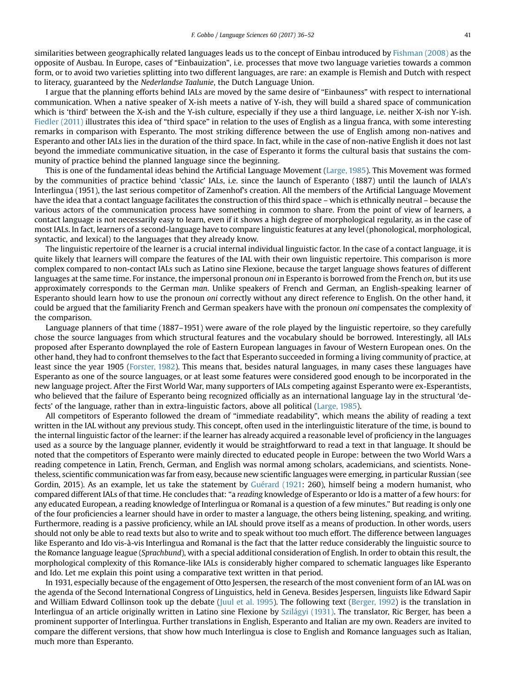similarities between geographically related languages leads us to the concept of Einbau introduced by [Fishman \(2008\)](#page-16-0) as the opposite of Ausbau. In Europe, cases of "Einbauization", i.e. processes that move two language varieties towards a common form, or to avoid two varieties splitting into two different languages, are rare: an example is Flemish and Dutch with respect to literacy, guaranteed by the Nederlandse Taalunie, the Dutch Language Union.

I argue that the planning efforts behind IALs are moved by the same desire of "Einbauness" with respect to international communication. When a native speaker of X-ish meets a native of Y-ish, they will build a shared space of communication which is 'third' between the X-ish and the Y-ish culture, especially if they use a third language, i.e. neither X-ish nor Y-ish. [Fiedler \(2011\)](#page-16-0) illustrates this idea of "third space" in relation to the uses of English as a lingua franca, with some interesting remarks in comparison with Esperanto. The most striking difference between the use of English among non-natives and Esperanto and other IALs lies in the duration of the third space. In fact, while in the case of non-native English it does not last beyond the immediate communicative situation, in the case of Esperanto it forms the cultural basis that sustains the community of practice behind the planned language since the beginning.

This is one of the fundamental ideas behind the Artificial Language Movement [\(Large, 1985\)](#page-16-0). This Movement was formed by the communities of practice behind 'classic' IALs, i.e. since the launch of Esperanto (1887) until the launch of IALA's Interlingua (1951), the last serious competitor of Zamenhof's creation. All the members of the Artificial Language Movement have the idea that a contact language facilitates the construction of this third space – which is ethnically neutral – because the various actors of the communication process have something in common to share. From the point of view of learners, a contact language is not necessarily easy to learn, even if it shows a high degree of morphological regularity, as in the case of most IALs. In fact, learners of a second-language have to compare linguistic features at any level (phonological, morphological, syntactic, and lexical) to the languages that they already know.

The linguistic repertoire of the learner is a crucial internal individual linguistic factor. In the case of a contact language, it is quite likely that learners will compare the features of the IAL with their own linguistic repertoire. This comparison is more complex compared to non-contact IALs such as Latino sine Flexione, because the target language shows features of different languages at the same time. For instance, the impersonal pronoun oni in Esperanto is borrowed from the French on, but its use approximately corresponds to the German man. Unlike speakers of French and German, an English-speaking learner of Esperanto should learn how to use the pronoun oni correctly without any direct reference to English. On the other hand, it could be argued that the familiarity French and German speakers have with the pronoun oni compensates the complexity of the comparison.

Language planners of that time (1887–1951) were aware of the role played by the linguistic repertoire, so they carefully chose the source languages from which structural features and the vocabulary should be borrowed. Interestingly, all IALs proposed after Esperanto downplayed the role of Eastern European languages in favour of Western European ones. On the other hand, they had to confront themselves to the fact that Esperanto succeeded in forming a living community of practice, at least since the year 1905 [\(Forster, 1982](#page-16-0)). This means that, besides natural languages, in many cases these languages have Esperanto as one of the source languages, or at least some features were considered good enough to be incorporated in the new language project. After the First World War, many supporters of IALs competing against Esperanto were ex-Esperantists, who believed that the failure of Esperanto being recognized officially as an international language lay in the structural 'defects' of the language, rather than in extra-linguistic factors, above all political ([Large, 1985](#page-16-0)).

All competitors of Esperanto followed the dream of "immediate readability", which means the ability of reading a text written in the IAL without any previous study. This concept, often used in the interlinguistic literature of the time, is bound to the internal linguistic factor of the learner: if the learner has already acquired a reasonable level of proficiency in the languages used as a source by the language planner, evidently it would be straightforward to read a text in that language. It should be noted that the competitors of Esperanto were mainly directed to educated people in Europe: between the two World Wars a reading competence in Latin, French, German, and English was normal among scholars, academicians, and scientists. Nonetheless, scientific communication was far from easy, because new scientific languages were emerging, in particular Russian (see Gordin, 2015). As an example, let us take the statement by [Guérard \(1921](#page-16-0): 260), himself being a modern humanist, who compared different IALs of that time. He concludes that: "a reading knowledge of Esperanto or Ido is a matter of a few hours: for any educated European, a reading knowledge of Interlingua or Romanal is a question of a few minutes." But reading is only one of the four proficiencies a learner should have in order to master a language, the others being listening, speaking, and writing. Furthermore, reading is a passive proficiency, while an IAL should prove itself as a means of production. In other words, users should not only be able to read texts but also to write and to speak without too much effort. The difference between languages like Esperanto and Ido vis-à-vis Interlingua and Romanal is the fact that the latter reduce considerably the linguistic source to the Romance language league (Sprachbund), with a special additional consideration of English. In order to obtain this result, the morphological complexity of this Romance-like IALs is considerably higher compared to schematic languages like Esperanto and Ido. Let me explain this point using a comparative text written in that period.

In 1931, especially because of the engagement of Otto Jespersen, the research of the most convenient form of an IAL was on the agenda of the Second International Congress of Linguistics, held in Geneva. Besides Jespersen, linguists like Edward Sapir and William Edward Collinson took up the debate ([Juul et al. 1995\)](#page-16-0). The following text [\(Berger, 1992](#page-15-0)) is the translation in Interlingua of an article originally written in Latino sine Flexione by [Szilágyi \(1931\)](#page-17-0). The translator, Ric Berger, has been a prominent supporter of Interlingua. Further translations in English, Esperanto and Italian are my own. Readers are invited to compare the different versions, that show how much Interlingua is close to English and Romance languages such as Italian, much more than Esperanto.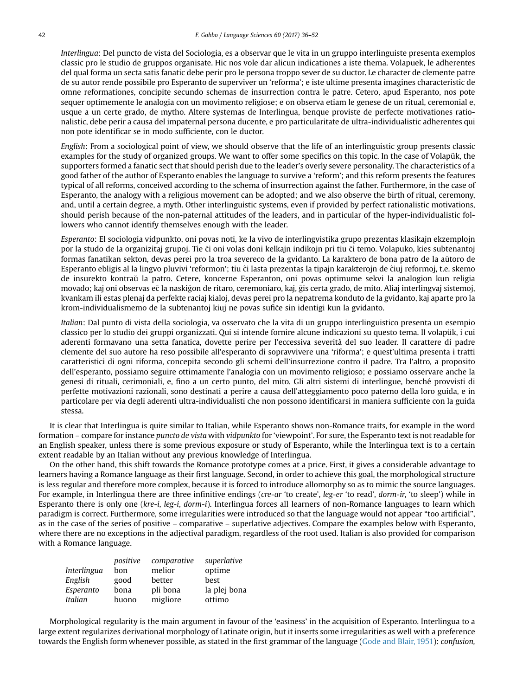Interlingua: Del puncto de vista del Sociologia, es a observar que le vita in un gruppo interlinguiste presenta exemplos classic pro le studio de gruppos organisate. Hic nos vole dar alicun indicationes a iste thema. Volapuek, le adherentes del qual forma un secta satis fanatic debe perir pro le persona troppo sever de su ductor. Le character de clemente patre de su autor rende possibile pro Esperanto de superviver un 'reforma'; e iste ultime presenta imagines characteristic de omne reformationes, concipite secundo schemas de insurrection contra le patre. Cetero, apud Esperanto, nos pote sequer optimemente le analogia con un movimento religiose; e on observa etiam le genese de un ritual, ceremonial e, usque a un certe grado, de mytho. Altere systemas de Interlingua, benque proviste de perfecte motivationes rationalistic, debe perir a causa del impaternal persona ducente, e pro particularitate de ultra-individualistic adherentes qui non pote identificar se in modo sufficiente, con le ductor.

English: From a sociological point of view, we should observe that the life of an interlinguistic group presents classic examples for the study of organized groups. We want to offer some specifics on this topic. In the case of Volapük, the supporters formed a fanatic sect that should perish due to the leader's overly severe personality. The characteristics of a good father of the author of Esperanto enables the language to survive a 'reform'; and this reform presents the features typical of all reforms, conceived according to the schema of insurrection against the father. Furthermore, in the case of Esperanto, the analogy with a religious movement can be adopted; and we also observe the birth of ritual, ceremony, and, until a certain degree, a myth. Other interlinguistic systems, even if provided by perfect rationalistic motivations, should perish because of the non-paternal attitudes of the leaders, and in particular of the hyper-individualistic followers who cannot identify themselves enough with the leader.

Esperanto: El sociologia vidpunkto, oni povas noti, ke la vivo de interlingvistika grupo prezentas klasikajn ekzemplojn por la studo de la organizitaj grupoj. Tie ĉi oni volas doni kelkajn indikojn pri tiu ĉi temo. Volapuko, kies subtenantoj formas fanatikan sekton, devas perei pro la troa severeco de la gvidanto. La karaktero de bona patro de la aŭtoro de Esperanto ebligis al la lingvo pluvivi 'reformon'; tiu ĉi lasta prezentas la tipajn karakterojn de ĉiuj reformoj, t.e. skemo de insurekto kontraŭ la patro. Cetere, koncerne Esperanton, oni povas optimume sekvi la analogion kun religia movado; kaj oni observas eĉ la naskiĝon de ritaro, ceremoniaro, kaj, ĝis certa grado, de mito. Aliaj interlingvaj sistemoj, kvankam ili estas plenaj da perfekte raciaj kialoj, devas perei pro la nepatrema konduto de la gvidanto, kaj aparte pro la krom-individualismemo de la subtenantoj kiuj ne povas sufi^ce sin identigi kun la gvidanto.

Italian: Dal punto di vista della sociologia, va osservato che la vita di un gruppo interlinguistico presenta un esempio classico per lo studio dei gruppi organizzati. Qui si intende fornire alcune indicazioni su questo tema. Il volapük, i cui aderenti formavano una setta fanatica, dovette perire per l'eccessiva severità del suo leader. Il carattere di padre clemente del suo autore ha reso possibile all'esperanto di sopravvivere una 'riforma'; e quest'ultima presenta i tratti caratteristici di ogni riforma, concepita secondo gli schemi dell'insurrezione contro il padre. Tra l'altro, a proposito dell'esperanto, possiamo seguire ottimamente l'analogia con un movimento religioso; e possiamo osservare anche la genesi di rituali, cerimoniali, e, fino a un certo punto, del mito. Gli altri sistemi di interlingue, benché provvisti di perfette motivazioni razionali, sono destinati a perire a causa dell'atteggiamento poco paterno della loro guida, e in particolare per via degli aderenti ultra-individualisti che non possono identificarsi in maniera sufficiente con la guida stessa.

It is clear that Interlingua is quite similar to Italian, while Esperanto shows non-Romance traits, for example in the word formation – compare for instance puncto de vista with vidpunkto for 'viewpoint'. For sure, the Esperanto text is not readable for an English speaker, unless there is some previous exposure or study of Esperanto, while the Interlingua text is to a certain extent readable by an Italian without any previous knowledge of Interlingua.

On the other hand, this shift towards the Romance prototype comes at a price. First, it gives a considerable advantage to learners having a Romance language as their first language. Second, in order to achieve this goal, the morphological structure is less regular and therefore more complex, because it is forced to introduce allomorphy so as to mimic the source languages. For example, in Interlingua there are three infinitive endings (cre-ar 'to create', leg-er 'to read', dorm-ir, 'to sleep') while in Esperanto there is only one (kre-i, leg-i, dorm-i). Interlingua forces all learners of non-Romance languages to learn which paradigm is correct. Furthermore, some irregularities were introduced so that the language would not appear "too artificial", as in the case of the series of positive – comparative – superlative adjectives. Compare the examples below with Esperanto, where there are no exceptions in the adjectival paradigm, regardless of the root used. Italian is also provided for comparison with a Romance language.

|             | positive | comparative | superlative  |
|-------------|----------|-------------|--------------|
| Interlingua | bon      | melior      | optime       |
| English     | good     | better      | best         |
| Esperanto   | bona     | pli bona    | la plej bona |
| Italian     | buono    | migliore    | ottimo       |

Morphological regularity is the main argument in favour of the 'easiness' in the acquisition of Esperanto. Interlingua to a large extent regularizes derivational morphology of Latinate origin, but it inserts some irregularities as well with a preference towards the English form whenever possible, as stated in the first grammar of the language ([Gode and Blair, 1951\)](#page-16-0): confusion,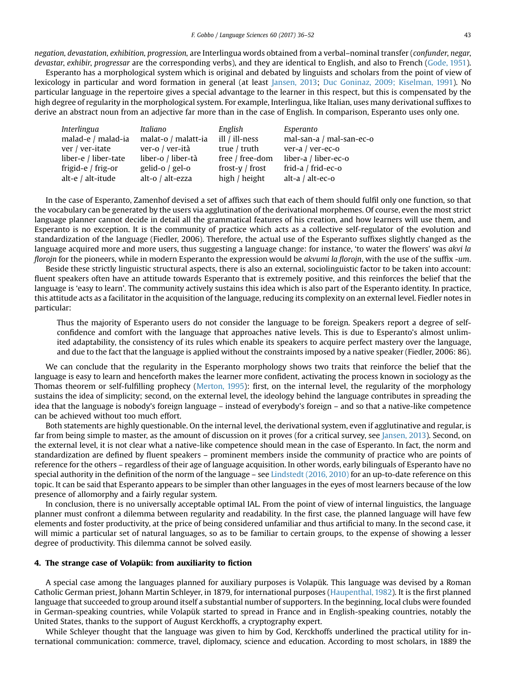<span id="page-8-0"></span>negation, devastation, exhibition, progression, are Interlingua words obtained from a verbal–nominal transfer (confunder, negar, devastar, exhibir, progressar are the corresponding verbs), and they are identical to English, and also to French ([Gode, 1951](#page-16-0)).

Esperanto has a morphological system which is original and debated by linguists and scholars from the point of view of lexicology in particular and word formation in general (at least [Jansen, 2013;](#page-16-0) [Duc Goninaz, 2009; Kiselman, 1991\)](#page-15-0). No particular language in the repertoire gives a special advantage to the learner in this respect, but this is compensated by the high degree of regularity in the morphological system. For example, Interlingua, like Italian, uses many derivational suffixes to derive an abstract noun from an adjective far more than in the case of English. In comparison, Esperanto uses only one.

| Interlingua          | Italiano            | English            | Esperanto                |
|----------------------|---------------------|--------------------|--------------------------|
| malad-e / malad-ia   | malat-o / malatt-ia | ill / ill-ness     | mal-san-a / mal-san-ec-o |
| ver / ver-itate      | ver-o / ver-ità     | true $/$ truth     | ver-a / ver-ec-o         |
| liber-e / liber-tate | liber-o / liber-tà  | free / free-dom    | liber-a / liber-ec-o     |
| frigid-e / frig-or   | gelid-o $/$ gel-o   | frost- $v /$ frost | frid-a / frid-ec-o       |
| alt-e / alt-itude    | alt-o / alt-ezza    | high / height      | alt-a / alt-ec-o         |

In the case of Esperanto, Zamenhof devised a set of affixes such that each of them should fulfil only one function, so that the vocabulary can be generated by the users via agglutination of the derivational morphemes. Of course, even the most strict language planner cannot decide in detail all the grammatical features of his creation, and how learners will use them, and Esperanto is no exception. It is the community of practice which acts as a collective self-regulator of the evolution and standardization of the language (Fiedler, 2006). Therefore, the actual use of the Esperanto suffixes slightly changed as the language acquired more and more users, thus suggesting a language change: for instance, 'to water the flowers' was akvi la florojn for the pioneers, while in modern Esperanto the expression would be akvumi la florojn, with the use of the suffix -um.

Beside these strictly linguistic structural aspects, there is also an external, sociolinguistic factor to be taken into account: fluent speakers often have an attitude towards Esperanto that is extremely positive, and this reinforces the belief that the language is 'easy to learn'. The community actively sustains this idea which is also part of the Esperanto identity. In practice, this attitude acts as a facilitator in the acquisition of the language, reducing its complexity on an external level. Fiedler notes in particular:

Thus the majority of Esperanto users do not consider the language to be foreign. Speakers report a degree of selfconfidence and comfort with the language that approaches native levels. This is due to Esperanto's almost unlimited adaptability, the consistency of its rules which enable its speakers to acquire perfect mastery over the language, and due to the fact that the language is applied without the constraints imposed by a native speaker (Fiedler, 2006: 86).

We can conclude that the regularity in the Esperanto morphology shows two traits that reinforce the belief that the language is easy to learn and henceforth makes the learner more confident, activating the process known in sociology as the Thomas theorem or self-fulfilling prophecy ([Merton, 1995\)](#page-16-0): first, on the internal level, the regularity of the morphology sustains the idea of simplicity; second, on the external level, the ideology behind the language contributes in spreading the idea that the language is nobody's foreign language – instead of everybody's foreign – and so that a native-like competence can be achieved without too much effort.

Both statements are highly questionable. On the internal level, the derivational system, even if agglutinative and regular, is far from being simple to master, as the amount of discussion on it proves (for a critical survey, see [Jansen, 2013](#page-16-0)). Second, on the external level, it is not clear what a native-like competence should mean in the case of Esperanto. In fact, the norm and standardization are defined by fluent speakers – prominent members inside the community of practice who are points of reference for the others – regardless of their age of language acquisition. In other words, early bilinguals of Esperanto have no special authority in the definition of the norm of the language – see [Lindstedt \(2016, 2010\)](#page-16-0) for an up-to-date reference on this topic. It can be said that Esperanto appears to be simpler than other languages in the eyes of most learners because of the low presence of allomorphy and a fairly regular system.

In conclusion, there is no universally acceptable optimal IAL. From the point of view of internal linguistics, the language planner must confront a dilemma between regularity and readability. In the first case, the planned language will have few elements and foster productivity, at the price of being considered unfamiliar and thus artificial to many. In the second case, it will mimic a particular set of natural languages, so as to be familiar to certain groups, to the expense of showing a lesser degree of productivity. This dilemma cannot be solved easily.

#### 4. The strange case of Volapük: from auxiliarity to fiction

A special case among the languages planned for auxiliary purposes is Volapük. This language was devised by a Roman Catholic German priest, Johann Martin Schleyer, in 1879, for international purposes ([Haupenthal, 1982\)](#page-16-0). It is the first planned language that succeeded to group around itself a substantial number of supporters. In the beginning, local clubs were founded in German-speaking countries, while Volapük started to spread in France and in English-speaking countries, notably the United States, thanks to the support of August Kerckhoffs, a cryptography expert.

While Schleyer thought that the language was given to him by God, Kerckhoffs underlined the practical utility for international communication: commerce, travel, diplomacy, science and education. According to most scholars, in 1889 the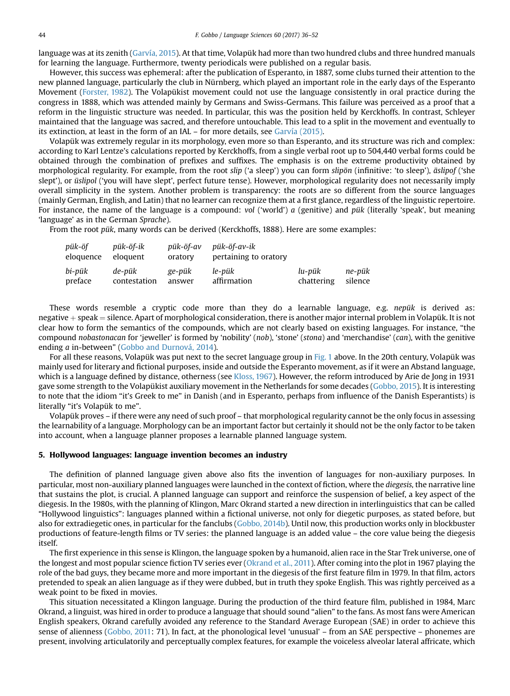language was at its zenith ([Garvía, 2015\)](#page-16-0). At that time, Volapük had more than two hundred clubs and three hundred manuals for learning the language. Furthermore, twenty periodicals were published on a regular basis.

However, this success was ephemeral: after the publication of Esperanto, in 1887, some clubs turned their attention to the new planned language, particularly the club in Nürnberg, which played an important role in the early days of the Esperanto Movement [\(Forster, 1982\)](#page-16-0). The Volapükist movement could not use the language consistently in oral practice during the congress in 1888, which was attended mainly by Germans and Swiss-Germans. This failure was perceived as a proof that a reform in the linguistic structure was needed. In particular, this was the position held by Kerckhoffs. In contrast, Schleyer maintained that the language was sacred, and therefore untouchable. This lead to a split in the movement and eventually to its extinction, at least in the form of an IAL – for more details, see [Garvía \(2015\)](#page-16-0).

Volapük was extremely regular in its morphology, even more so than Esperanto, and its structure was rich and complex: according to Karl Lentze's calculations reported by Kerckhoffs, from a single verbal root up to 504,440 verbal forms could be obtained through the combination of prefixes and suffixes. The emphasis is on the extreme productivity obtained by morphological regularity. For example, from the root slip ('a sleep') you can form slipön (infinitive: 'to sleep'), äslipof ('she slept'), or üslipol ('you will have slept', perfect future tense). However, morphological regularity does not necessarily imply overall simplicity in the system. Another problem is transparency: the roots are so different from the source languages (mainly German, English, and Latin) that no learner can recognize them at a first glance, regardless of the linguistic repertoire. For instance, the name of the language is a compound: vol ('world') a (genitive) and pük (literally 'speak', but meaning 'language' as in the German Sprache).

From the root pük, many words can be derived (Kerckhoffs, 1888). Here are some examples:

| pük-öf<br>eloquence | pük-öf-ik<br>eloguent | pük-öf-av<br>oratory | pük-öf-av-ik<br>pertaining to oratory |            |         |
|---------------------|-----------------------|----------------------|---------------------------------------|------------|---------|
| bi-pük              | de-pük                | ge-pük               | le-pük                                | lu-pük     | ne-pük  |
| preface             | contestation          | answer               | affirmation                           | chattering | silence |

These words resemble a cryptic code more than they do a learnable language, e.g. nepük is derived as: negative  $+$  speak  $=$  silence. Apart of morphological consideration, there is another major internal problem in Volapük. It is not clear how to form the semantics of the compounds, which are not clearly based on existing languages. For instance, "the compound nobastonacan for 'jeweller' is formed by 'nobility' (nob), 'stone' (stona) and 'merchandise' (can), with the genitive ending a in-between" [\(Gobbo and Durnová, 2014\)](#page-16-0).

For all these reasons, Volapük was put next to the secret language group in [Fig. 1](#page-3-0) above. In the 20th century, Volapük was mainly used for literary and fictional purposes, inside and outside the Esperanto movement, as if it were an Abstand language, which is a language defined by distance, otherness (see [Kloss, 1967](#page-16-0)). However, the reform introduced by Arie de Jong in 1931 gave some strength to the Volapükist auxiliary movement in the Netherlands for some decades [\(Gobbo, 2015\)](#page-16-0). It is interesting to note that the idiom "it's Greek to me" in Danish (and in Esperanto, perhaps from influence of the Danish Esperantists) is literally "it's Volapük to me".

Volapük proves – if there were any need of such proof – that morphological regularity cannot be the only focus in assessing the learnability of a language. Morphology can be an important factor but certainly it should not be the only factor to be taken into account, when a language planner proposes a learnable planned language system.

#### 5. Hollywood languages: language invention becomes an industry

The definition of planned language given above also fits the invention of languages for non-auxiliary purposes. In particular, most non-auxiliary planned languages were launched in the context of fiction, where the diegesis, the narrative line that sustains the plot, is crucial. A planned language can support and reinforce the suspension of belief, a key aspect of the diegesis. In the 1980s, with the planning of Klingon, Marc Okrand started a new direction in interlinguistics that can be called "Hollywood linguistics": languages planned within a fictional universe, not only for diegetic purposes, as stated before, but also for extradiegetic ones, in particular for the fanclubs [\(Gobbo, 2014b](#page-16-0)). Until now, this production works only in blockbuster productions of feature-length films or TV series: the planned language is an added value – the core value being the diegesis itself.

The first experience in this sense is Klingon, the language spoken by a humanoid, alien race in the Star Trek universe, one of the longest and most popular science fiction TV series ever [\(Okrand et al., 2011\)](#page-16-0). After coming into the plot in 1967 playing the role of the bad guys, they became more and more important in the diegesis of the first feature film in 1979. In that film, actors pretended to speak an alien language as if they were dubbed, but in truth they spoke English. This was rightly perceived as a weak point to be fixed in movies.

This situation necessitated a Klingon language. During the production of the third feature film, published in 1984, Marc Okrand, a linguist, was hired in order to produce a language that should sound "alien" to the fans. As most fans were American English speakers, Okrand carefully avoided any reference to the Standard Average European (SAE) in order to achieve this sense of alienness ([Gobbo, 2011:](#page-16-0) 71). In fact, at the phonological level 'unusual' – from an SAE perspective – phonemes are present, involving articulatorily and perceptually complex features, for example the voiceless alveolar lateral affricate, which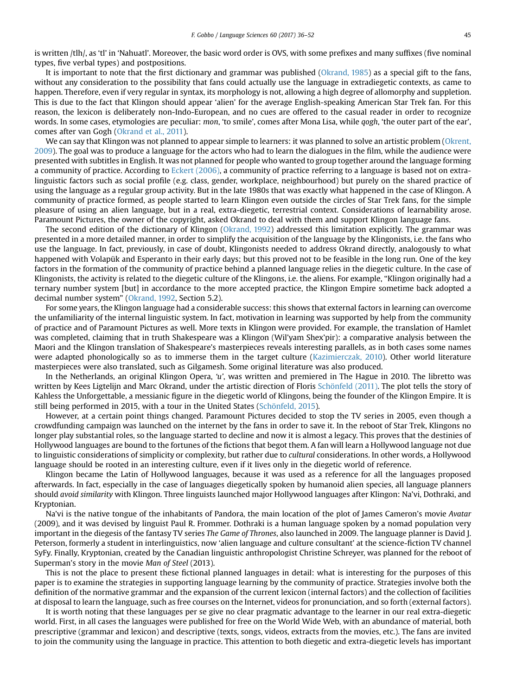is written /tlh/, as 'tl' in 'Nahuatl'. Moreover, the basic word order is OVS, with some prefixes and many suffixes (five nominal types, five verbal types) and postpositions.

It is important to note that the first dictionary and grammar was published ([Okrand, 1985](#page-16-0)) as a special gift to the fans, without any consideration to the possibility that fans could actually use the language in extradiegetic contexts, as came to happen. Therefore, even if very regular in syntax, its morphology is not, allowing a high degree of allomorphy and suppletion. This is due to the fact that Klingon should appear 'alien' for the average English-speaking American Star Trek fan. For this reason, the lexicon is deliberately non-Indo-European, and no cues are offered to the casual reader in order to recognize words. In some cases, etymologies are peculiar: mon, 'to smile', comes after Mona Lisa, while qogh, 'the outer part of the ear', comes after van Gogh ([Okrand et al., 2011\)](#page-16-0).

We can say that Klingon was not planned to appear simple to learners: it was planned to solve an artistic problem [\(Okrent,](#page-16-0) [2009](#page-16-0)). The goal was to produce a language for the actors who had to learn the dialogues in the film, while the audience were presented with subtitles in English. It was not planned for people who wanted to group together around the language forming a community of practice. According to [Eckert \(2006\)](#page-15-0), a community of practice referring to a language is based not on extralinguistic factors such as social profile (e.g. class, gender, workplace, neighbourhood) but purely on the shared practice of using the language as a regular group activity. But in the late 1980s that was exactly what happened in the case of Klingon. A community of practice formed, as people started to learn Klingon even outside the circles of Star Trek fans, for the simple pleasure of using an alien language, but in a real, extra-diegetic, terrestrial context. Considerations of learnability arose. Paramount Pictures, the owner of the copyright, asked Okrand to deal with them and support Klingon language fans.

The second edition of the dictionary of Klingon ([Okrand, 1992](#page-16-0)) addressed this limitation explicitly. The grammar was presented in a more detailed manner, in order to simplify the acquisition of the language by the Klingonists, i.e. the fans who use the language. In fact, previously, in case of doubt, Klingonists needed to address Okrand directly, analogously to what happened with Volapük and Esperanto in their early days; but this proved not to be feasible in the long run. One of the key factors in the formation of the community of practice behind a planned language relies in the diegetic culture. In the case of Klingonists, the activity is related to the diegetic culture of the Klingons, i.e. the aliens. For example, "Klingon originally had a ternary number system [but] in accordance to the more accepted practice, the Klingon Empire sometime back adopted a decimal number system" ([Okrand, 1992](#page-16-0), Section 5.2).

For some years, the Klingon language had a considerable success: this shows that external factors in learning can overcome the unfamiliarity of the internal linguistic system. In fact, motivation in learning was supported by help from the community of practice and of Paramount Pictures as well. More texts in Klingon were provided. For example, the translation of Hamlet was completed, claiming that in truth Shakespeare was a Klingon (Wil'yam Shex'pir): a comparative analysis between the Maori and the Klingon translation of Shakespeare's masterpieces reveals interesting parallels, as in both cases some names were adapted phonologically so as to immerse them in the target culture [\(Kazimierczak, 2010](#page-16-0)). Other world literature masterpieces were also translated, such as Gilgamesh. Some original literature was also produced.

In the Netherlands, an original Klingon Opera, 'u', was written and premiered in The Hague in 2010. The libretto was written by Kees Ligtelijn and Marc Okrand, under the artistic direction of Floris [Schönfeld \(2011\)](#page-17-0). The plot tells the story of Kahless the Unforgettable, a messianic figure in the diegetic world of Klingons, being the founder of the Klingon Empire. It is still being performed in 2015, with a tour in the United States ([Schönfeld, 2015\)](#page-17-0).

However, at a certain point things changed. Paramount Pictures decided to stop the TV series in 2005, even though a crowdfunding campaign was launched on the internet by the fans in order to save it. In the reboot of Star Trek, Klingons no longer play substantial roles, so the language started to decline and now it is almost a legacy. This proves that the destinies of Hollywood languages are bound to the fortunes of the fictions that begot them. A fan will learn a Hollywood language not due to linguistic considerations of simplicity or complexity, but rather due to cultural considerations. In other words, a Hollywood language should be rooted in an interesting culture, even if it lives only in the diegetic world of reference.

Klingon became the Latin of Hollywood languages, because it was used as a reference for all the languages proposed afterwards. In fact, especially in the case of languages diegetically spoken by humanoid alien species, all language planners should avoid similarity with Klingon. Three linguists launched major Hollywood languages after Klingon: Na'vi, Dothraki, and Kryptonian.

Na'vi is the native tongue of the inhabitants of Pandora, the main location of the plot of James Cameron's movie Avatar (2009), and it was devised by linguist Paul R. Frommer. Dothraki is a human language spoken by a nomad population very important in the diegesis of the fantasy TV series The Game of Thrones, also launched in 2009. The language planner is David J. Peterson, formerly a student in interlinguistics, now 'alien language and culture consultant' at the science-fiction TV channel SyFy. Finally, Kryptonian, created by the Canadian linguistic anthropologist Christine Schreyer, was planned for the reboot of Superman's story in the movie Man of Steel (2013).

This is not the place to present these fictional planned languages in detail: what is interesting for the purposes of this paper is to examine the strategies in supporting language learning by the community of practice. Strategies involve both the definition of the normative grammar and the expansion of the current lexicon (internal factors) and the collection of facilities at disposal to learn the language, such as free courses on the Internet, videos for pronunciation, and so forth (external factors).

It is worth noting that these languages per se give no clear pragmatic advantage to the learner in our real extra-diegetic world. First, in all cases the languages were published for free on the World Wide Web, with an abundance of material, both prescriptive (grammar and lexicon) and descriptive (texts, songs, videos, extracts from the movies, etc.). The fans are invited to join the community using the language in practice. This attention to both diegetic and extra-diegetic levels has important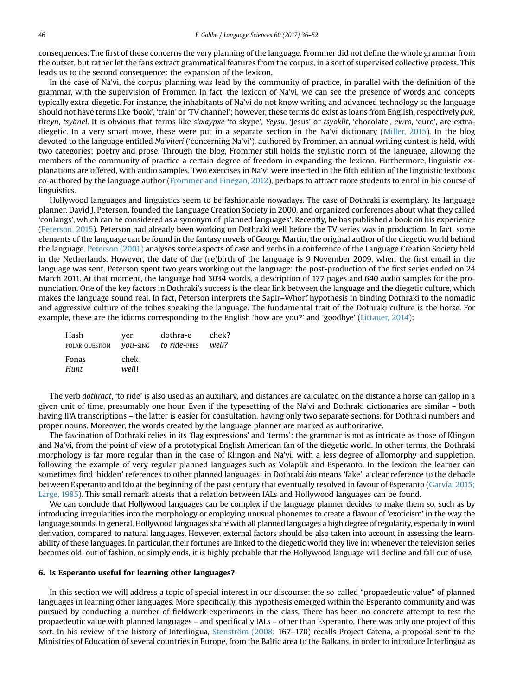consequences. The first of these concerns the very planning of the language. Frommer did not define the whole grammar from the outset, but rather let the fans extract grammatical features from the corpus, in a sort of supervised collective process. This leads us to the second consequence: the expansion of the lexicon.

In the case of Na'vi, the corpus planning was lead by the community of practice, in parallel with the definition of the grammar, with the supervision of Frommer. In fact, the lexicon of Na'vi, we can see the presence of words and concepts typically extra-diegetic. For instance, the inhabitants of Na'vi do not know writing and advanced technology so the language should not have terms like 'book', 'train' or 'TV channel'; however, these terms do exist as loans from English, respectively puk, tìreyn, tsyänel. It is obvious that terms like skxaypxe 'to skype', Yeysu, 'Jesus' or tsyoklìt, 'chocolate', ewro, 'euro', are extradiegetic. In a very smart move, these were put in a separate section in the Na'vi dictionary ([Miller, 2015](#page-16-0)). In the blog devoted to the language entitled Na'viteri ('concerning Na'vi'), authored by Frommer, an annual writing contest is held, with two categories: poetry and prose. Through the blog, Frommer still holds the stylistic norm of the language, allowing the members of the community of practice a certain degree of freedom in expanding the lexicon. Furthermore, linguistic explanations are offered, with audio samples. Two exercises in Na'vi were inserted in the fifth edition of the linguistic textbook co-authored by the language author ([Frommer and Finegan, 2012\)](#page-16-0), perhaps to attract more students to enrol in his course of linguistics.

Hollywood languages and linguistics seem to be fashionable nowadays. The case of Dothraki is exemplary. Its language planner, David J. Peterson, founded the Language Creation Society in 2000, and organized conferences about what they called 'conlangs', which can be considered as a synonym of 'planned languages'. Recently, he has published a book on his experience [\(Peterson, 2015](#page-16-0)). Peterson had already been working on Dothraki well before the TV series was in production. In fact, some elements of the language can be found in the fantasy novels of George Martin, the original author of the diegetic world behind the language. [Peterson \(2001\)](#page-16-0) analyses some aspects of case and verbs in a conference of the Language Creation Society held in the Netherlands. However, the date of the (re)birth of the language is 9 November 2009, when the first email in the language was sent. Peterson spent two years working out the language: the post-production of the first series ended on 24 March 2011. At that moment, the language had 3034 words, a description of 177 pages and 640 audio samples for the pronunciation. One of the key factors in Dothraki's success is the clear link between the language and the diegetic culture, which makes the language sound real. In fact, Peterson interprets the Sapir–Whorf hypothesis in binding Dothraki to the nomadic and aggressive culture of the tribes speaking the language. The fundamental trait of the Dothraki culture is the horse. For example, these are the idioms corresponding to the English 'how are you?' and 'goodbye' [\(Littauer, 2014\)](#page-16-0):

| Hash           | ver            | dothra-e     | chek? |
|----------------|----------------|--------------|-------|
| POLAR QUESTION | VOU-SING       | to ride-PRES | well? |
| Fonas<br>Hunt  | chek!<br>well! |              |       |

The verb dothraat, 'to ride' is also used as an auxiliary, and distances are calculated on the distance a horse can gallop in a given unit of time, presumably one hour. Even if the typesetting of the Na'vi and Dothraki dictionaries are similar – both having IPA transcriptions – the latter is easier for consultation, having only two separate sections, for Dothraki numbers and proper nouns. Moreover, the words created by the language planner are marked as authoritative.

The fascination of Dothraki relies in its 'flag expressions' and 'terms': the grammar is not as intricate as those of Klingon and Na'vi, from the point of view of a prototypical English American fan of the diegetic world. In other terms, the Dothraki morphology is far more regular than in the case of Klingon and Na'vi, with a less degree of allomorphy and suppletion, following the example of very regular planned languages such as Volapük and Esperanto. In the lexicon the learner can sometimes find 'hidden' references to other planned languages: in Dothraki ido means 'fake', a clear reference to the debacle between Esperanto and Ido at the beginning of the past century that eventually resolved in favour of Esperanto [\(Garvía, 2015;](#page-16-0) [Large, 1985\)](#page-16-0). This small remark attests that a relation between IALs and Hollywood languages can be found.

We can conclude that Hollywood languages can be complex if the language planner decides to make them so, such as by introducing irregularities into the morphology or employing unusual phonemes to create a flavour of 'exoticism' in the way the language sounds. In general, Hollywood languages share with all planned languages a high degree of regularity, especially in word derivation, compared to natural languages. However, external factors should be also taken into account in assessing the learnability of these languages. In particular, their fortunes are linked to the diegetic world they live in: whenever the television series becomes old, out of fashion, or simply ends, it is highly probable that the Hollywood language will decline and fall out of use.

#### 6. Is Esperanto useful for learning other languages?

In this section we will address a topic of special interest in our discourse: the so-called "propaedeutic value" of planned languages in learning other languages. More specifically, this hypothesis emerged within the Esperanto community and was pursued by conducting a number of fieldwork experiments in the class. There has been no concrete attempt to test the propaedeutic value with planned languages – and specifically IALs – other than Esperanto. There was only one project of this sort. In his review of the history of Interlingua, [Stenström \(2008:](#page-17-0) 167–170) recalls Project Catena, a proposal sent to the Ministries of Education of several countries in Europe, from the Baltic area to the Balkans, in order to introduce Interlingua as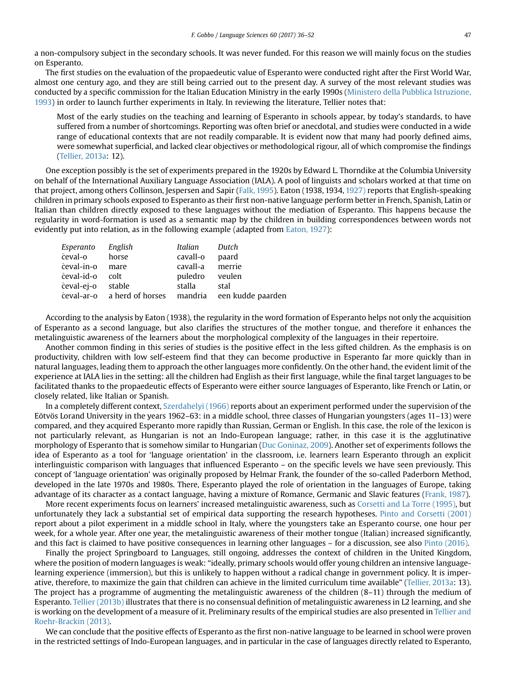a non-compulsory subject in the secondary schools. It was never funded. For this reason we will mainly focus on the studies on Esperanto.

The first studies on the evaluation of the propaedeutic value of Esperanto were conducted right after the First World War, almost one century ago, and they are still being carried out to the present day. A survey of the most relevant studies was conducted by a specific commission for the Italian Education Ministry in the early 1990s ([Ministero della Pubblica Istruzione,](#page-16-0) [1993](#page-16-0)) in order to launch further experiments in Italy. In reviewing the literature, Tellier notes that:

Most of the early studies on the teaching and learning of Esperanto in schools appear, by today's standards, to have suffered from a number of shortcomings. Reporting was often brief or anecdotal, and studies were conducted in a wide range of educational contexts that are not readily comparable. It is evident now that many had poorly defined aims, were somewhat superficial, and lacked clear objectives or methodological rigour, all of which compromise the findings ([Tellier, 2013a](#page-17-0): 12).

One exception possibly is the set of experiments prepared in the 1920s by Edward L. Thorndike at the Columbia University on behalf of the International Auxiliary Language Association (IALA). A pool of linguists and scholars worked at that time on that project, among others Collinson, Jespersen and Sapir [\(Falk, 1995](#page-15-0)). Eaton (1938, 1934, [1927\)](#page-15-0) reports that English-speaking children in primary schools exposed to Esperanto as their first non-native language perform better in French, Spanish, Latin or Italian than children directly exposed to these languages without the mediation of Esperanto. This happens because the regularity in word-formation is used as a semantic map by the children in building correspondences between words not evidently put into relation, as in the following example (adapted from [Eaton, 1927](#page-15-0)):

| Esperanto English | Italian         | Dutch                                                 |
|-------------------|-----------------|-------------------------------------------------------|
| ĉeval-o horse     | cavall-o        | paard                                                 |
| ĉeval-in-o mare   | cavall-a merrie |                                                       |
| ĉeval-id-o colt   | puledro veulen  |                                                       |
| ĉeval-ej-o stable | stalla          | stal                                                  |
|                   |                 | ceval-ar-o a herd of horses mandria een kudde paarden |

According to the analysis by Eaton (1938), the regularity in the word formation of Esperanto helps not only the acquisition of Esperanto as a second language, but also clarifies the structures of the mother tongue, and therefore it enhances the metalinguistic awareness of the learners about the morphological complexity of the languages in their repertoire.

Another common finding in this series of studies is the positive effect in the less gifted children. As the emphasis is on productivity, children with low self-esteem find that they can become productive in Esperanto far more quickly than in natural languages, leading them to approach the other languages more confidently. On the other hand, the evident limit of the experience at IALA lies in the setting: all the children had English as their first language, while the final target languages to be facilitated thanks to the propaedeutic effects of Esperanto were either source languages of Esperanto, like French or Latin, or closely related, like Italian or Spanish.

In a completely different context, [Szerdahelyi \(1966\)](#page-17-0) reports about an experiment performed under the supervision of the Eötvös Lorand University in the years 1962–63: in a middle school, three classes of Hungarian youngsters (ages 11–13) were compared, and they acquired Esperanto more rapidly than Russian, German or English. In this case, the role of the lexicon is not particularly relevant, as Hungarian is not an Indo-European language; rather, in this case it is the agglutinative morphology of Esperanto that is somehow similar to Hungarian ([Duc Goninaz, 2009\)](#page-15-0). Another set of experiments follows the idea of Esperanto as a tool for 'language orientation' in the classroom, i.e. learners learn Esperanto through an explicit interlinguistic comparison with languages that influenced Esperanto – on the specific levels we have seen previously. This concept of 'language orientation' was originally proposed by Helmar Frank, the founder of the so-called Paderborn Method, developed in the late 1970s and 1980s. There, Esperanto played the role of orientation in the languages of Europe, taking advantage of its character as a contact language, having a mixture of Romance, Germanic and Slavic features ([Frank, 1987](#page-16-0)).

More recent experiments focus on learners' increased metalinguistic awareness, such as [Corsetti and La Torre \(1995\)](#page-15-0), but unfortunately they lack a substantial set of empirical data supporting the research hypotheses. [Pinto and Corsetti \(2001\)](#page-17-0) report about a pilot experiment in a middle school in Italy, where the youngsters take an Esperanto course, one hour per week, for a whole year. After one year, the metalinguistic awareness of their mother tongue (Italian) increased significantly, and this fact is claimed to have positive consequences in learning other languages – for a discussion, see also [Pinto \(2016\)](#page-16-0).

Finally the project Springboard to Languages, still ongoing, addresses the context of children in the United Kingdom, where the position of modern languages is weak: "ideally, primary schools would offer young children an intensive languagelearning experience (immersion), but this is unlikely to happen without a radical change in government policy. It is imperative, therefore, to maximize the gain that children can achieve in the limited curriculum time available" ([Tellier, 2013a](#page-17-0): 13). The project has a programme of augmenting the metalinguistic awareness of the children (8–11) through the medium of Esperanto. [Tellier \(2013b\)](#page-17-0) illustrates that there is no consensual definition of metalinguistic awareness in L2 learning, and she is working on the development of a measure of it. Preliminary results of the empirical studies are also presented in [Tellier and](#page-17-0) [Roehr-Brackin \(2013\).](#page-17-0)

We can conclude that the positive effects of Esperanto as the first non-native language to be learned in school were proven in the restricted settings of Indo-European languages, and in particular in the case of languages directly related to Esperanto,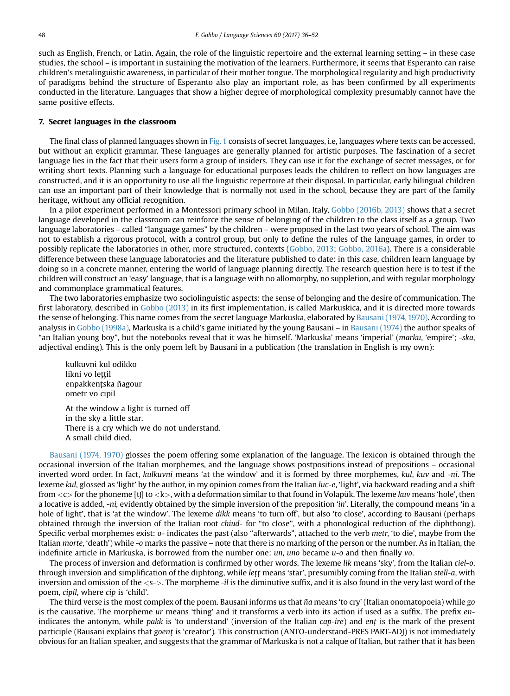such as English, French, or Latin. Again, the role of the linguistic repertoire and the external learning setting – in these case studies, the school – is important in sustaining the motivation of the learners. Furthermore, it seems that Esperanto can raise children's metalinguistic awareness, in particular of their mother tongue. The morphological regularity and high productivity of paradigms behind the structure of Esperanto also play an important role, as has been confirmed by all experiments conducted in the literature. Languages that show a higher degree of morphological complexity presumably cannot have the same positive effects.

#### 7. Secret languages in the classroom

The final class of planned languages shown in [Fig. 1](#page-3-0) consists of secret languages, i.e, languages where texts can be accessed, but without an explicit grammar. These languages are generally planned for artistic purposes. The fascination of a secret language lies in the fact that their users form a group of insiders. They can use it for the exchange of secret messages, or for writing short texts. Planning such a language for educational purposes leads the children to reflect on how languages are constructed, and it is an opportunity to use all the linguistic repertoire at their disposal. In particular, early bilingual children can use an important part of their knowledge that is normally not used in the school, because they are part of the family heritage, without any official recognition.

In a pilot experiment performed in a Montessori primary school in Milan, Italy, [Gobbo \(2016b, 2013\)](#page-16-0) shows that a secret language developed in the classroom can reinforce the sense of belonging of the children to the class itself as a group. Two language laboratories – called "language games" by the children – were proposed in the last two years of school. The aim was not to establish a rigorous protocol, with a control group, but only to define the rules of the language games, in order to possibly replicate the laboratories in other, more structured, contexts [\(Gobbo, 2013](#page-16-0); [Gobbo, 2016a](#page-16-0)). There is a considerable difference between these language laboratories and the literature published to date: in this case, children learn language by doing so in a concrete manner, entering the world of language planning directly. The research question here is to test if the children will construct an 'easy' language, that is a language with no allomorphy, no suppletion, and with regular morphology and commonplace grammatical features.

The two laboratories emphasize two sociolinguistic aspects: the sense of belonging and the desire of communication. The first laboratory, described in [Gobbo \(2013\)](#page-16-0) in its first implementation, is called Markuskica, and it is directed more towards the sense of belonging. This name comes from the secret language Markuska, elaborated by [Bausani \(1974, 1970\).](#page-15-0) According to analysis in [Gobbo \(1998a\)](#page-16-0), Markuska is a child's game initiated by the young Bausani – in [Bausani \(1974\)](#page-15-0) the author speaks of "an Italian young boy", but the notebooks reveal that it was he himself. 'Markuska' means 'imperial' (marku, 'empire'; -ska, adjectival ending). This is the only poem left by Bausani in a publication (the translation in English is my own):

kulkuvni kul odikko likni vo lettil enpakkentska ñagour ometr vo cipil

At the window a light is turned off in the sky a little star. There is a cry which we do not understand. A small child died.

[Bausani \(1974, 1970\)](#page-15-0) glosses the poem offering some explanation of the language. The lexicon is obtained through the occasional inversion of the Italian morphemes, and the language shows postpositions instead of prepositions – occasional inverted word order. In fact, kulkuvni means 'at the window' and it is formed by three morphemes, kul, kuv and -ni. The lexeme kul, glossed as 'light' by the author, in my opinion comes from the Italian luc-e, 'light', via backward reading and a shift from  $<<>$  for the phoneme [t] to  $<<>$ , with a deformation similar to that found in Volapük. The lexeme kuv means 'hole', then a locative is added, -ni, evidently obtained by the simple inversion of the preposition 'in'. Literally, the compound means 'in a hole of light', that is 'at the window'. The lexeme dikk means 'to turn off', but also 'to close', according to Bausani (perhaps obtained through the inversion of the Italian root chiud- for "to close", with a phonological reduction of the diphthong). Specific verbal morphemes exist: o- indicates the past (also "afterwards", attached to the verb metr, 'to die', maybe from the Italian morte, 'death') while -o marks the passive – note that there is no marking of the person or the number. As in Italian, the indefinite article in Markuska, is borrowed from the number one: un, uno became u-o and then finally vo.

The process of inversion and deformation is confirmed by other words. The lexeme lik means 'sky', from the Italian ciel-o, through inversion and simplification of the diphtong, while lett means 'star', presumibly coming from the Italian stell-a, with inversion and omission of the <s->. The morpheme -il is the diminutive suffix, and it is also found in the very last word of the poem, cipil, where cip is 'child'.

The third verse is the most complex of the poem. Bausani informs us that  $\tilde{n}a$  means 'to cry' (Italian onomatopoeia) while go is the causative. The morpheme ur means 'thing' and it transforms a verb into its action if used as a suffix. The prefix enindicates the antonym, while pakk is 'to understand' (inversion of the Italian cap-ire) and ent is the mark of the present participle (Bausani explains that goent is 'creator'). This construction (ANTO-understand-PRES PART-ADJ) is not immediately obvious for an Italian speaker, and suggests that the grammar of Markuska is not a calque of Italian, but rather that it has been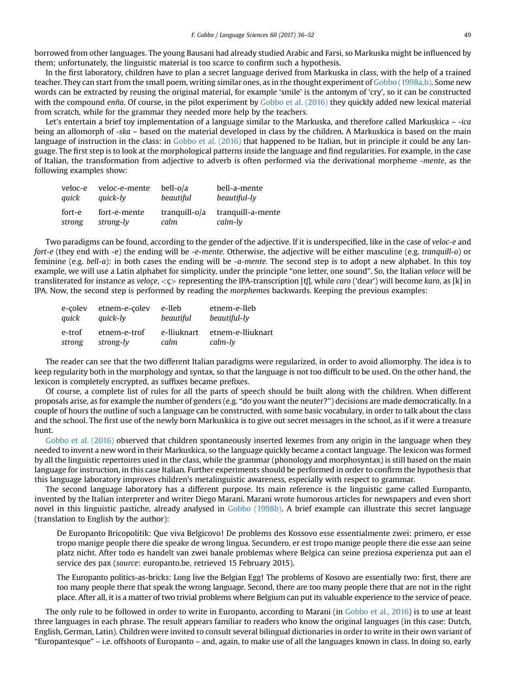borrowed from other languages. The young Bausani had already studied Arabic and Farsi, so Markuska might be influenced by them; unfortunately, the linguistic material is too scarce to confirm such a hypothesis.

In the first laboratory, children have to plan a secret language derived from Markuska in class, with the help of a trained teacher. They can start from the small poem, writing similar ones, as in the thought experiment of [Gobbo \(1998a,b\).](#page-16-0) Some new words can be extracted by reusing the original material, for example 'smile' is the antonym of 'cry', so it can be constructed with the compound enña. Of course, in the pilot experiment by [Gobbo et al. \(2016\)](#page-16-0) they quickly added new lexical material from scratch, while for the grammar they needed more help by the teachers.

Let's entertain a brief toy implementation of a language similar to the Markuska, and therefore called Markuskica - -ica being an allomorph of -ska – based on the material developed in class by the children. A Markuskica is based on the main language of instruction in the class: in [Gobbo et al. \(2016\)](#page-16-0) that happened to be Italian, but in principle it could be any language. The first step is to look at the morphological patterns inside the language and find regularities. For example, in the case of Italian, the transformation from adjective to adverb is often performed via the derivational morpheme -mente, as the following examples show:

| veloc-e | veloc-e-mente | bell-o/a      | bell-a-mente      |
|---------|---------------|---------------|-------------------|
| quick   | quick-ly      | beautiful     | beautiful-ly      |
| fort-e  | fort-e-mente  | tranguill-o/a | tranguill-a-mente |
| strong  | strong-ly     | calm          | calm-ly           |

Two paradigms can be found, according to the gender of the adjective. If it is underspecified, like in the case of veloc-e and fort-e (they end with -e) the ending will be -e-mente. Otherwise, the adjective will be either masculine (e.g. tranquill-o) or feminine (e.g. bell-a): in both cases the ending will be -a-mente. The second step is to adopt a new alphabet. In this toy example, we will use a Latin alphabet for simplicity, under the principle "one letter, one sound". So, the Italian veloce will be transliterated for instance as veloçe,  $\langle \zeta \rangle$  representing the IPA-transcription [tf], while caro ('dear') will become karo, as [k] in IPA. Now, the second step is performed by reading the morphemes backwards. Keeping the previous examples:

| e-colev | etnem-e-colev | e-lleb      | etnem-e-lleb      |
|---------|---------------|-------------|-------------------|
| quick   | quick-ly      | beautiful   | beautiful-ly      |
| e-trof  | etnem-e-trof  | e-lliuknart | etnem-e-lliuknart |
| strong  | strong-ly     | calm        | $calm$ -ly        |

The reader can see that the two different Italian paradigms were regularized, in order to avoid allomorphy. The idea is to keep regularity both in the morphology and syntax, so that the language is not too difficult to be used. On the other hand, the lexicon is completely encrypted, as suffixes became prefixes.

Of course, a complete list of rules for all the parts of speech should be built along with the children. When different proposals arise, as for example the number of genders (e.g. "do you want the neuter?") decisions are made democratically. In a couple of hours the outline of such a language can be constructed, with some basic vocabulary, in order to talk about the class and the school. The first use of the newly born Markuskica is to give out secret messages in the school, as if it were a treasure hunt.

[Gobbo et al. \(2016\)](#page-16-0) observed that children spontaneously inserted lexemes from any origin in the language when they needed to invent a new word in their Markuskica, so the language quickly became a contact language. The lexicon was formed by all the linguistic repertoires used in the class, while the grammar (phonology and morphosyntax) is still based on the main language for instruction, in this case Italian. Further experiments should be performed in order to confirm the hypothesis that this language laboratory improves children's metalinguistic awareness, especially with respect to grammar.

The second language laboratory has a different purpose. Its main reference is the linguistic game called Europanto, invented by the Italian interpreter and writer Diego Marani. Marani wrote humorous articles for newspapers and even short novel in this linguistic pastiche, already analysed in [Gobbo \(1998b\).](#page-16-0) A brief example can illustrate this secret language (translation to English by the author):

De Europanto Bricopolitik: Que viva Belgicovo! De problems des Kossovo esse essentialmente zwei: primero, er esse tropo manige people there die speake de wrong lingua. Secundero, er est tropo manige people there die esse aan seine platz nicht. After todo es handelt van zwei banale problemas where Belgica can seine preziosa experienza put aan el service des pax (source: europanto.be, retrieved 15 February 2015).

The Europanto politics-as-bricks: Long live the Belgian Egg! The problems of Kosovo are essentially two: first, there are too many people there that speak the wrong language. Second, there are too many people there that are not in the right place. After all, it is a matter of two trivial problems where Belgium can put its valuable experience to the service of peace.

The only rule to be followed in order to write in Europanto, according to Marani (in [Gobbo et al., 2016\)](#page-16-0) is to use at least three languages in each phrase. The result appears familiar to readers who know the original languages (in this case: Dutch, English, German, Latin). Children were invited to consult several bilingual dictionaries in order to write in their own variant of "Europantesque" – i.e. offshoots of Europanto – and, again, to make use of all the languages known in class. In doing so, early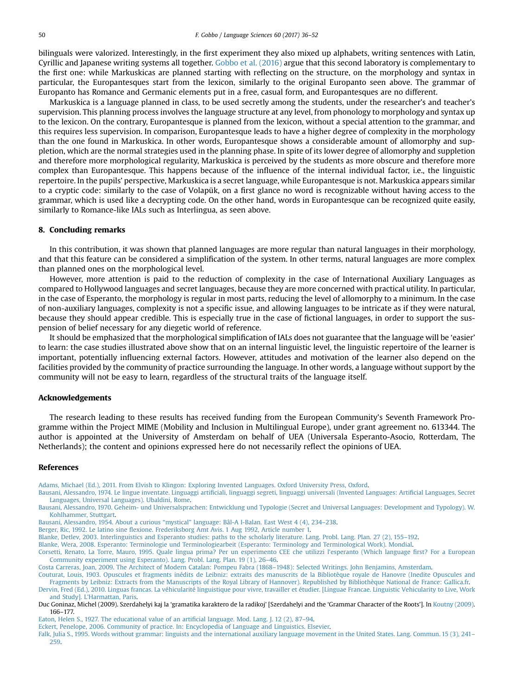<span id="page-15-0"></span>bilinguals were valorized. Interestingly, in the first experiment they also mixed up alphabets, writing sentences with Latin, Cyrillic and Japanese writing systems all together. [Gobbo et al. \(2016\)](#page-16-0) argue that this second laboratory is complementary to the first one: while Markuskicas are planned starting with reflecting on the structure, on the morphology and syntax in particular, the Europantesques start from the lexicon, similarly to the original Europanto seen above. The grammar of Europanto has Romance and Germanic elements put in a free, casual form, and Europantesques are no different.

Markuskica is a language planned in class, to be used secretly among the students, under the researcher's and teacher's supervision. This planning process involves the language structure at any level, from phonology to morphology and syntax up to the lexicon. On the contrary, Europantesque is planned from the lexicon, without a special attention to the grammar, and this requires less supervision. In comparison, Europantesque leads to have a higher degree of complexity in the morphology than the one found in Markuskica. In other words, Europantesque shows a considerable amount of allomorphy and suppletion, which are the normal strategies used in the planning phase. In spite of its lower degree of allomorphy and suppletion and therefore more morphological regularity, Markuskica is perceived by the students as more obscure and therefore more complex than Europantesque. This happens because of the influence of the internal individual factor, i.e., the linguistic repertoire. In the pupils' perspective, Markuskica is a secret language, while Europantesque is not. Markuskica appears similar to a cryptic code: similarly to the case of Volapük, on a first glance no word is recognizable without having access to the grammar, which is used like a decrypting code. On the other hand, words in Europantesque can be recognized quite easily, similarly to Romance-like IALs such as Interlingua, as seen above.

#### 8. Concluding remarks

In this contribution, it was shown that planned languages are more regular than natural languages in their morphology, and that this feature can be considered a simplification of the system. In other terms, natural languages are more complex than planned ones on the morphological level.

However, more attention is paid to the reduction of complexity in the case of International Auxiliary Languages as compared to Hollywood languages and secret languages, because they are more concerned with practical utility. In particular, in the case of Esperanto, the morphology is regular in most parts, reducing the level of allomorphy to a minimum. In the case of non-auxiliary languages, complexity is not a specific issue, and allowing languages to be intricate as if they were natural, because they should appear credible. This is especially true in the case of fictional languages, in order to support the suspension of belief necessary for any diegetic world of reference.

It should be emphasized that the morphological simplification of IALs does not guarantee that the language will be 'easier' to learn: the case studies illustrated above show that on an internal linguistic level, the linguistic repertoire of the learner is important, potentially influencing external factors. However, attitudes and motivation of the learner also depend on the facilities provided by the community of practice surrounding the language. In other words, a language without support by the community will not be easy to learn, regardless of the structural traits of the language itself.

#### Acknowledgements

The research leading to these results has received funding from the European Community's Seventh Framework Programme within the Project MIME (Mobility and Inclusion in Multilingual Europe), under grant agreement no. 613344. The author is appointed at the University of Amsterdam on behalf of UEA (Universala Esperanto-Asocio, Rotterdam, The Netherlands); the content and opinions expressed here do not necessarily reflect the opinions of UEA.

#### References

[Adams, Michael \(Ed.\), 2011. From Elvish to Klingon: Exploring Invented Languages. Oxford University Press, Oxford.](http://refhub.elsevier.com/S0388-0001(16)30166-8/sref1)

Bausani, Alessandro, 1974. Le lingue inventate. Linguaggi artifi[ciali, linguaggi segreti, linguaggi universali \(Invented Languages: Arti](http://refhub.elsevier.com/S0388-0001(16)30166-8/sref2)ficial Languages, Secret [Languages, Universal Languages\). Ubaldini, Rome.](http://refhub.elsevier.com/S0388-0001(16)30166-8/sref2)

[Bausani, Alessandro, 1970. Geheim- und Universalsprachen: Entwicklung und Typologie \(Secret and Universal Languages: Development and Typology\). W.](http://refhub.elsevier.com/S0388-0001(16)30166-8/sref3) [Kohlhammer, Stuttgart.](http://refhub.elsevier.com/S0388-0001(16)30166-8/sref3)

Bausani, Alessandro, 1954. About a curious "mystical" [language: Bâl-A I-Balan. East West 4 \(4\), 234](http://refhub.elsevier.com/S0388-0001(16)30166-8/sref4)–238.

Berger, Ric, 1992. Le latino sine fl[exione. Frederiksborg Amt Avis. 1 Aug 1992, Article number 1.](http://refhub.elsevier.com/S0388-0001(16)30166-8/sref5)

[Blanke, Detlev, 2003. Interlinguistics and Esperanto studies: paths to the scholarly literature. Lang. Probl. Lang. Plan. 27 \(2\), 155](http://refhub.elsevier.com/S0388-0001(16)30166-8/sref6)–192.

[Blanke, Wera, 2008. Esperanto: Terminologie und Terminologiearbeit \(Esperanto: Terminology and Terminological Work\). Mondial](http://refhub.elsevier.com/S0388-0001(16)30166-8/sref7).

[Corsetti, Renato, La Torre, Mauro, 1995. Quale lingua prima? Per un esperimento CEE che utilizzi l](http://refhub.elsevier.com/S0388-0001(16)30166-8/sref10)'esperanto (Which language first? For a European [Community experiment using Esperanto\). Lang. Probl. Lang. Plan. 19 \(1\), 26](http://refhub.elsevier.com/S0388-0001(16)30166-8/sref10)–46.

[Costa Carreras, Joan, 2009. The Architect of Modern Catalan: Pompeu Fabra \(1868](http://refhub.elsevier.com/S0388-0001(16)30166-8/sref11)–1948): Selected Writings. John Benjamins, Amsterdam.

[Couturat, Louis, 1903. Opuscules et fragments inédits de Leibniz: extraits des manuscrits de la Bibliotèque royale de Hanovre \(Inedite Opuscules and](http://refhub.elsevier.com/S0388-0001(16)30166-8/sref12) [Fragments by Leibniz: Extracts from the Manuscripts of the Royal Library of Hannover\). Republished by Bibliothèque National de France: Gallica.fr.](http://refhub.elsevier.com/S0388-0001(16)30166-8/sref12)

[Dervin, Fred \(Ed.\), 2010. Linguas francas. La véhicularité linguistique pour vivre, travailler et étudier. \[Linguae Francae. Linguistic Vehicularity to Live, Work](http://refhub.elsevier.com/S0388-0001(16)30166-8/sref13) and Study]. L'[Harmattan, Paris.](http://refhub.elsevier.com/S0388-0001(16)30166-8/sref13)

Duc Goninaz, Michel (2009). Szerdahelyi kaj la 'gramatika karaktero de la radikoj' [Szerdahelyi and the 'Grammar Character of the Roots']. In [Koutny \(2009\).](#page-16-0) 166–177.

[Eaton, Helen S., 1927. The educational value of an arti](http://refhub.elsevier.com/S0388-0001(16)30166-8/sref16)ficial language. Mod. Lang. J. 12 (2), 87–94.

[Eckert, Penelope, 2006. Community of practice. In: Encyclopedia of Language and Linguistics. Elsevier.](http://refhub.elsevier.com/S0388-0001(16)30166-8/sref17)

[Falk, Julia S., 1995. Words without grammar: linguists and the international auxiliary language movement in the United States. Lang. Commun. 15 \(3\),](http://refhub.elsevier.com/S0388-0001(16)30166-8/sref18) 241– [259](http://refhub.elsevier.com/S0388-0001(16)30166-8/sref18).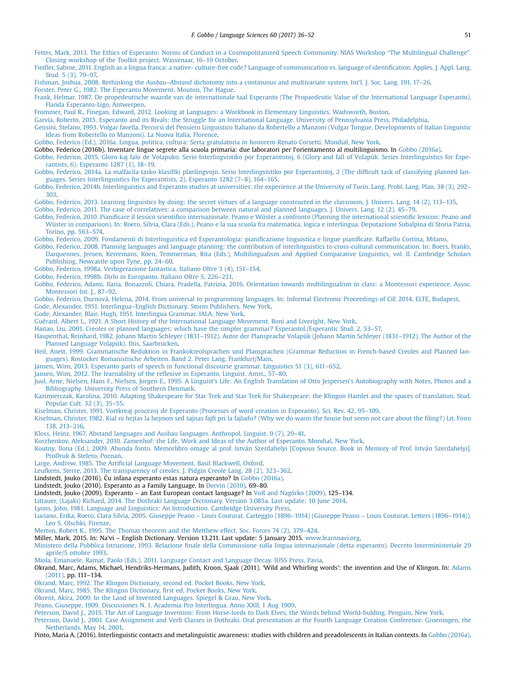<span id="page-16-0"></span>[Fettes, Mark, 2013. The Ethics of Esperanto: Norms of Conduct in a Cosmopolitanized Speech Community. NIAS Workshop](http://refhub.elsevier.com/S0388-0001(16)30166-8/sref19) "The Multilingual Challenge". [Closing workshop of the Toolkit project. Wassenaar, 16](http://refhub.elsevier.com/S0388-0001(16)30166-8/sref19)–19 October.

[Fiedler, Sabine, 2011. English as a lingua franca: a native- culture-free code? Language of communication vs. language of identi](http://refhub.elsevier.com/S0388-0001(16)30166-8/sref20)fication. Apples. J. Appl. Lang. [Stud. 5 \(3\), 79](http://refhub.elsevier.com/S0388-0001(16)30166-8/sref20)–97.

Fishman, Joshua, 2008. Rethinking the Ausbau–Abstand [dichotomy into a continuous and multivariate system. Int](http://refhub.elsevier.com/S0388-0001(16)30166-8/sref21)'l. J. Soc. Lang. 191, 17–26.

[Forster, Peter G., 1982. The Esperanto Movement. Mouton, The Hague](http://refhub.elsevier.com/S0388-0001(16)30166-8/sref22).

[Frank, Helmar, 1987. De propedeutische waarde van de internationale taal Esperanto \(The Propaedeutic Value of the International Language Esperanto\).](http://refhub.elsevier.com/S0388-0001(16)30166-8/sref23) [Flanda Esperanto-Ligo, Antwerpen.](http://refhub.elsevier.com/S0388-0001(16)30166-8/sref23)

[Frommer, Paul R., Finegan, Edward, 2012. Looking at Languages: a Workbook in Elementary Linguistics. Wadsworth, Boston.](http://refhub.elsevier.com/S0388-0001(16)30166-8/sref24)

[Garvía, Roberto, 2015. Esperanto and its Rivals: the Struggle for an International Language. University of Pennsylvania Press, Philadelphia](http://refhub.elsevier.com/S0388-0001(16)30166-8/sref25).

[Gensini, Stefano, 1993. Volgar favella. Percorsi del Pensiero Linguistico Italiano da Robertello a Manzoni \(Vulgar Tongue. Developments of Italian Linguistic](http://refhub.elsevier.com/S0388-0001(16)30166-8/sref26) [Ideas from Robertello to Manzoni\). La Nuova Italia, Florence](http://refhub.elsevier.com/S0388-0001(16)30166-8/sref26).

[Gobbo, Federico \(Ed.\), 2016a. Lingua, politica, cultura: Serta gratulatoria in honorem Renato Corsetti. Mondial, New York](http://refhub.elsevier.com/S0388-0001(16)30166-8/sref27).

Gobbo, Federico (2016b). Inventare lingue segrete alla scuola primaria: due laboratori per l'orientamento al multilinguismo. In Gobbo (2016a).

[Gobbo, Federico, 2015. Gloro kaj falo de Volapuko. Serio Interlingvistiko por Esperantistoj, 6 \(Glory and fall of Volapük. Series Interlinguistics](http://refhub.elsevier.com/S0388-0001(16)30166-8/sref29) for Espe[rantists, 6\). Esperanto 1287 \(1\), 18](http://refhub.elsevier.com/S0388-0001(16)30166-8/sref29)–19.

Gobbo, Federico, 2014a. La malfacila tasko klasifi[ki planlingvojn. Serio Interlingvistiko por Esperantistoj, 2 \(The dif](http://refhub.elsevier.com/S0388-0001(16)30166-8/sref30)ficult task of classifying planned lan[guages. Series Interlinguistics for Esperantists, 2\). Esperanto 1282 \(7](http://refhub.elsevier.com/S0388-0001(16)30166-8/sref30)–8), 164–165.

[Gobbo, Federico, 2014b. Interlinguistics and Esperanto studies at universities: the experience at the University of Turin. Lang. Probl. Lang. Plan. 38 \(3\), 292](http://refhub.elsevier.com/S0388-0001(16)30166-8/sref31)– [303](http://refhub.elsevier.com/S0388-0001(16)30166-8/sref31).

[Gobbo, Federico, 2013. Learning linguistics by doing: the secret virtues of a language constructed in the classroom. J. Univers. Lang. 14 \(2\), 113](http://refhub.elsevier.com/S0388-0001(16)30166-8/sref32)–135. [Gobbo, Federico, 2011. The case of correlatives: a comparison between natural and planned languages. J. Univers. Lang. 12 \(2\), 45](http://refhub.elsevier.com/S0388-0001(16)30166-8/sref33)–79.

Gobbo, Federico, 2010. Pianificare il lessico scientifi[co internazionale. Peano e Wüster a confronto \(Planning the international scienti](http://refhub.elsevier.com/S0388-0001(16)30166-8/sref34)fic lexicon: Peano and [Wüster in comparison\). In: Roero, Silvia, Clara \(Eds.\), Peano e la sua scuola fra matematica, logica e interlingua. Deputazione Subalpina di Storia Patria,](http://refhub.elsevier.com/S0388-0001(16)30166-8/sref34) [Torino, pp. 563](http://refhub.elsevier.com/S0388-0001(16)30166-8/sref34)–574.

[Gobbo, Federico, 2009. Fondamenti di Interlinguistica ed Esperantologia: piani](http://refhub.elsevier.com/S0388-0001(16)30166-8/sref35)ficazione linguistica e lingue pianificate. Raffaello Cortina, Milano.

[Gobbo, Federico, 2008. Planning languages and language planning: the contribution of interlinguistics to cross-cultural communication. In: Boers, Franks,](http://refhub.elsevier.com/S0388-0001(16)30166-8/sref36) [Darquennes, Jeroen, Kerremans, Koen, Temmerman, Rita \(Eds.\), Multilingualism and Applied Comparative Linguistics, vol. II. Cambridge Scholars](http://refhub.elsevier.com/S0388-0001(16)30166-8/sref36) [Publishing, Newcastle upon Tyne, pp. 24](http://refhub.elsevier.com/S0388-0001(16)30166-8/sref36)–60.

[Gobbo, Federico, 1998a. Verbigerazione fantastica. Italiano Oltre 3 \(4\), 151](http://refhub.elsevier.com/S0388-0001(16)30166-8/sref37)–154.

[Gobbo, Federico, 1998b. Dirlo in Europanto. Italiano Oltre 5, 226](http://refhub.elsevier.com/S0388-0001(16)30166-8/sref38)–231.

[Gobbo, Federico, Adami, Ilaria, Bonazzoli, Chiara, Pradella, Patrizia, 2016. Orientation towards multilingualism in class: a Montessori experience. Assoc.](http://refhub.elsevier.com/S0388-0001(16)30166-8/sref39) [Montessori Int. J., 87](http://refhub.elsevier.com/S0388-0001(16)30166-8/sref39)–92.

[Gobbo, Federico, Durnová, Helena, 2014. From universal to programming languages. In: Informal Electronic Proceedings of CiE 2014. ELTE, Budapest](http://refhub.elsevier.com/S0388-0001(16)30166-8/sref40).

Gode, Alexander, 1951. Interlingua–[English Dictionary. Storm Publishers, New York.](http://refhub.elsevier.com/S0388-0001(16)30166-8/sref41)

[Gode, Alexander, Blair, Hugh, 1951. Interlingua Grammar. IALA, New York](http://refhub.elsevier.com/S0388-0001(16)30166-8/sref42).

[Guérard, Albert L., 1921. A Short History of the International Language Movement. Boni and Liveright, New York](http://refhub.elsevier.com/S0388-0001(16)30166-8/sref43).

[Haitao, Liu, 2001. Creoles or planned languages: which have the simpler grammar? Esperantol./Esperantic Stud. 2, 53](http://refhub.elsevier.com/S0388-0001(16)30166-8/sref44)–57.

Haupenthal, Reinhard, 1982. Johann Martin Schleyer (1831–[1912\). Autor der Plansprache Volapük \(Johann Martin Schleyer \(1831](http://refhub.elsevier.com/S0388-0001(16)30166-8/sref45)–1912). The Author of the [Planned Language Volapük\). Iltis, Saarbrücken.](http://refhub.elsevier.com/S0388-0001(16)30166-8/sref45)

[Heil, Anett, 1999. Grammatische Reduktion in Frankokreolsprachen und Plansprachen \(Grammar Reduction in French-based Creoles and Planned lan](http://refhub.elsevier.com/S0388-0001(16)30166-8/sref46)[guages\). Rostocker Romanistische Arbeiten. Band 2. Peter Lang, Frankfurt/Main.](http://refhub.elsevier.com/S0388-0001(16)30166-8/sref46)

[Jansen, Wim, 2013. Esperanto parts of speech in functional discourse grammar. Linguistics 51 \(3\), 611](http://refhub.elsevier.com/S0388-0001(16)30166-8/sref48)–652.

[Jansen, Wim, 2012. The learnability of the re](http://refhub.elsevier.com/S0388-0001(16)30166-8/sref49)flexive in Esperanto. Linguist. Amst., 57–80.

[Juul, Arne, Nielsen, Hans F., Nielsen, Jorgen E., 1995. A Linguist](http://refhub.elsevier.com/S0388-0001(16)30166-8/sref50)'s Life: An English Translation of Otto Jespersen's Autobiography with Notes, Photos and a [Bibliography. University Press of Southern Denmark](http://refhub.elsevier.com/S0388-0001(16)30166-8/sref50).

[Kazimierczak, Karolina, 2010. Adapting Shakespeare for Star Trek and Star Trek for Shakespeare: the Klingon Hamlet and the spaces of translation. Stud.](http://refhub.elsevier.com/S0388-0001(16)30166-8/sref51) [Popular Cult. 32 \(3\), 35](http://refhub.elsevier.com/S0388-0001(16)30166-8/sref51)–55.

[Kiselman, Christer, 1991. Vortkreaj procezoj de Esperanto \(Processes of word creation in Esperanto\). Sci. Rev. 42, 95](http://refhub.elsevier.com/S0388-0001(16)30166-8/sref52)–109.

[Kiselman, Christer, 1982. Kial ni hejtas la hejmon sed](http://refhub.elsevier.com/S0388-0001(16)30166-8/sref53) ŝajnas fajfi [pri la fajlado? \(Why we do warm the house but seem not care about the](http://refhub.elsevier.com/S0388-0001(16)30166-8/sref53) filing?) Lit. Foiro [138, 213](http://refhub.elsevier.com/S0388-0001(16)30166-8/sref53)–216.

[Kloss, Heinz, 1967. Abstand languages and Ausbau languages. Anthropol. Linguist. 9 \(7\), 29](http://refhub.elsevier.com/S0388-0001(16)30166-8/sref54)–41.

[Korzhenkov, Aleksander, 2010. Zamenhof: the Life, Work and Ideas of the Author of Esperanto. Mondial, New York](http://refhub.elsevier.com/S0388-0001(16)30166-8/sref55).

[Koutny, Ilona \(Ed.\), 2009. Abunda fonto. Memorlibro oma](http://refhub.elsevier.com/S0388-0001(16)30166-8/sref56)g[e al prof. István Szerdahelyi \[Copious Source. Book in Memory of Prof. István Szerdahelyi\].](http://refhub.elsevier.com/S0388-0001(16)30166-8/sref56) [ProDruk & Steleto, Pozna](http://refhub.elsevier.com/S0388-0001(16)30166-8/sref56)ń.

Large, Andrew, 1985. The Artifi[cial Language Movement. Basil Blackwell, Oxford](http://refhub.elsevier.com/S0388-0001(16)30166-8/sref57).

[Leufkens, Sterre, 2013. The transparency of creoles. J. Pidgin Creole Lang. 28 \(2\), 323](http://refhub.elsevier.com/S0388-0001(16)30166-8/sref58)–362.

Lindstedt, Jouko (2016). Ĉu infana esperanto estas natura esperanto? In Gobbo (2016a).

Lindstedt, Jouko (2010). Esperanto as a Family Language. In [Dervin \(2010\)](#page-15-0). 69–80.

Lindstedt, Jouko (2009). Esperanto – an East European contact language? In [Voß and Nagórko \(2009\).](#page-17-0) 125–134.

[Littauer, \(Lajaki\) Richard, 2014. The Dothraki Language Dictionary. Version 3.085a. Last update: 10 June 2014](http://refhub.elsevier.com/S0388-0001(16)30166-8/sref62).

[Lyons, John, 1981. Language and Linguistics: An Introduction. Cambridge University Press](http://refhub.elsevier.com/S0388-0001(16)30166-8/sref63).

[Luciano, Erika, Roero, Clara Silvia, 2005. Giuseppe Peano](http://refhub.elsevier.com/S0388-0001(16)30166-8/sref64) – Louis Couturat. Carteggio (1896–1914) (Giuseppe Peano – Louis Couturat. Letters (1896–1914)). [Leo S. Olschki, Firenze.](http://refhub.elsevier.com/S0388-0001(16)30166-8/sref64)

[Merton, Robert K., 1995. The Thomas theorem and the Metthew effect. Soc. Forces 74 \(2\), 379](http://refhub.elsevier.com/S0388-0001(16)30166-8/sref66)–424.

Miller, Mark, 2015. In: Na'vi – English Dictionary. Version 13.211. Last update: 5 January 2015. [www.learnnavi.org](http://www.learnnavi.org).

Ministero della Pubblica Istruzione, 1993. Relazione fi[nale della Commissione sulla lingua internazionale \(detta esperanto\). Decreto Interministeriale 29](http://refhub.elsevier.com/S0388-0001(16)30166-8/sref68) [aprile/5 ottobre 1993](http://refhub.elsevier.com/S0388-0001(16)30166-8/sref68).

[Miola, Emanuele, Ramat, Paolo \(Eds.\), 2011. Language Contact and Language Decay. IUSS Press, Pavia.](http://refhub.elsevier.com/S0388-0001(16)30166-8/sref69)

Okrand, Marc, Adams, Michael, Hendriks-Hermans, Judith, Kroon, Sjaak (2011). 'Wild and Whirling words': the invention and Use of Klingon. In: [Adams](#page-15-0) [\(2011\).](#page-15-0) pp. 111–134.

[Okrand, Marc, 1992. The Klingon Dictionary, second ed. Pocket Books, New York.](http://refhub.elsevier.com/S0388-0001(16)30166-8/sref72)

[Okrand, Marc, 1985. The Klingon Dictionary,](http://refhub.elsevier.com/S0388-0001(16)30166-8/sref73) first ed. Pocket Books, New York.

[Okrent, Akira, 2009. In the Land of Invented Languages. Spiegel & Grau, New York](http://refhub.elsevier.com/S0388-0001(16)30166-8/sref74).

[Peano, Giuseppe, 1909. Discussiones N. 1. Academia Pro Interlingua. Anno XXII, 1 Aug 1909.](http://refhub.elsevier.com/S0388-0001(16)30166-8/sref75)

[Peterson, David J., 2015. The Art of Language Invention: From Horse-lords to Dark Elves, the Words behind World-bulding. Penguin, New York.](http://refhub.elsevier.com/S0388-0001(16)30166-8/sref76)

[Peterson, David J., 2001. Case Assignment and Verb Classes in Dothraki. Oral presentation at the Fourth Language Creation Conference. Groeningen, the](http://refhub.elsevier.com/S0388-0001(16)30166-8/sref77) [Netherlands. May 14, 2001.](http://refhub.elsevier.com/S0388-0001(16)30166-8/sref77)

Pinto, Maria A. (2016). Interlinguistic contacts and metalinguistic awareness: studies with children and preadolescents in Italian contexts. In Gobbo (2016a).